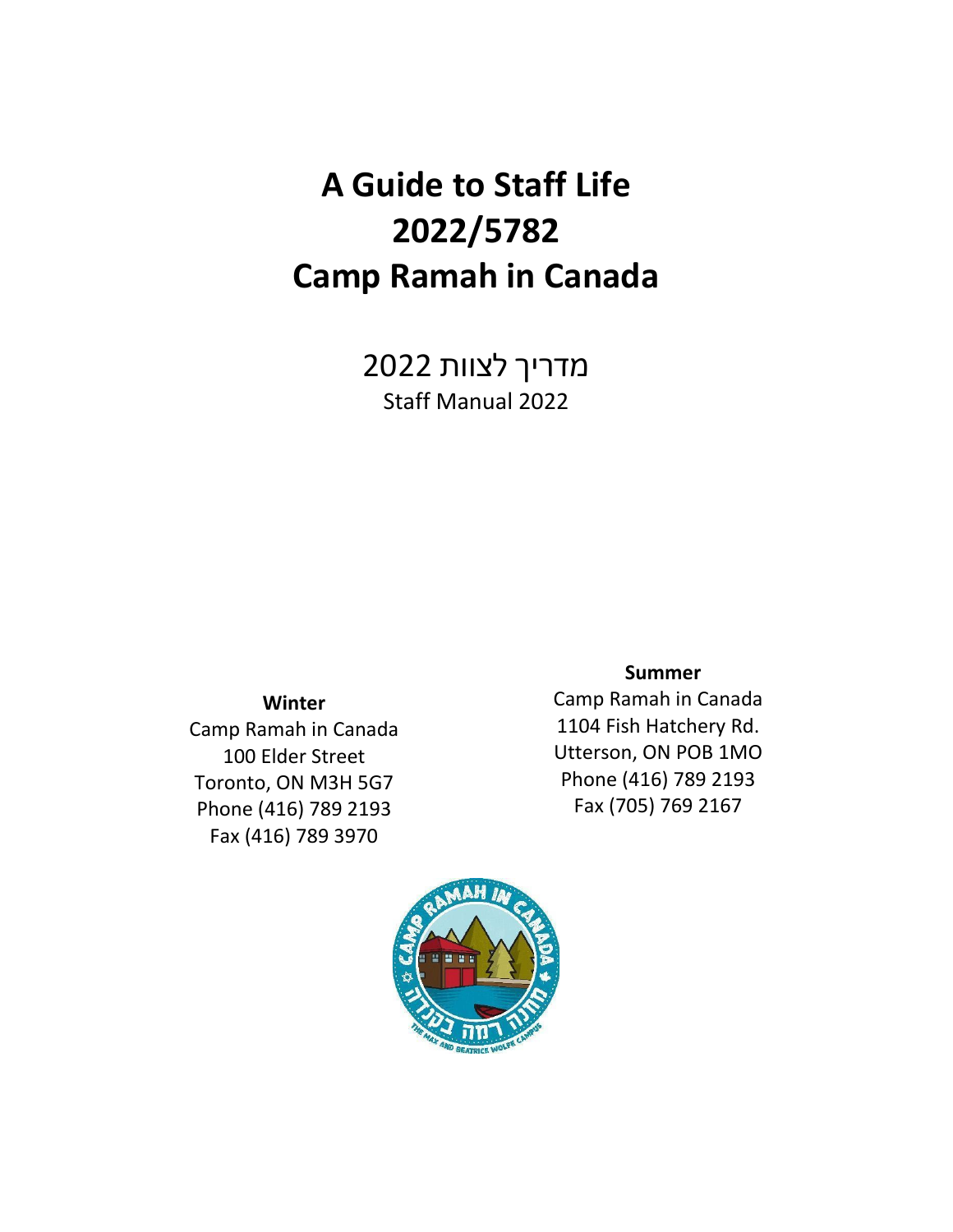# **A Guide to Staff Life 2022/5782 Camp Ramah in Canada**

מדריך לצוות 2022 Staff Manual 2022

**Winter**

Camp Ramah in Canada 100 Elder Street Toronto, ON M3H 5G7 Phone (416) 789 2193 Fax (416) 789 3970

 **Summer** 

Camp Ramah in Canada 1104 Fish Hatchery Rd. Utterson, ON POB 1MO Phone (416) 789 2193 Fax (705) 769 2167

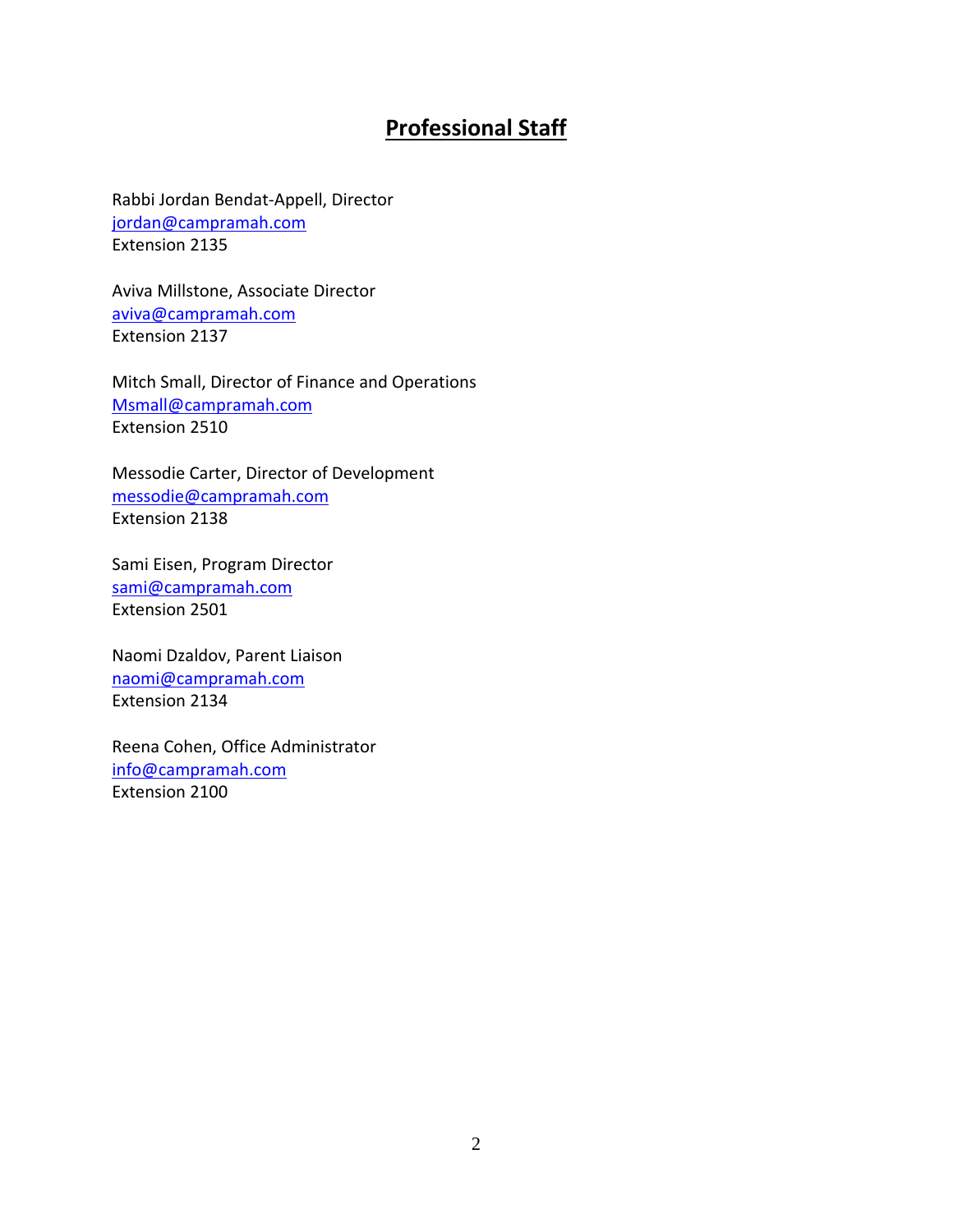## **Professional Staff**

Rabbi Jordan Bendat-Appell, Director [jordan@campramah.com](mailto:jordan@campramah.com) Extension 2135

Aviva Millstone, Associate Director [aviva@campramah.com](mailto:aviva@campramah.com) Extension 2137

Mitch Small, Director of Finance and Operations [Msmall@campramah.com](mailto:Msmall@campramah.com) Extension 2510

Messodie Carter, Director of Development [messodie@campramah.com](about:blank) Extension 2138

Sami Eisen, Program Director [sami@campramah.com](mailto:leora@campramah.com) Extension 2501

Naomi Dzaldov, Parent Liaison [naomi@campramah.com](mailto:naomi@campramah.com) Extension 2134

Reena Cohen, Office Administrator [info@campramah.com](mailto:info@campramah.com) Extension 2100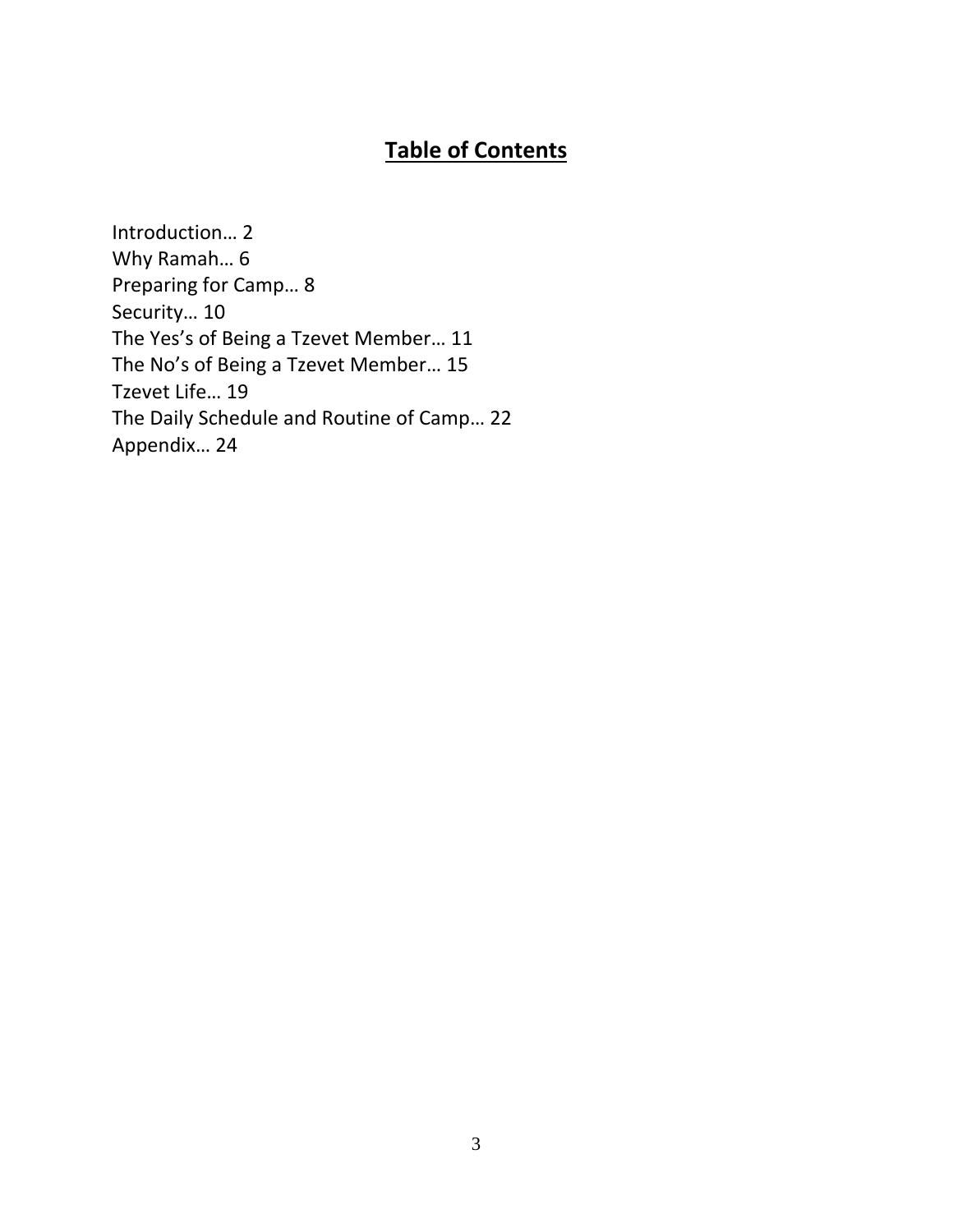## **Table of Contents**

Introduction… 2 Why Ramah… 6 Preparing for Camp… 8 Security… 10 The Yes's of Being a Tzevet Member… 11 The No's of Being a Tzevet Member… 15 Tzevet Life… 19 The Daily Schedule and Routine of Camp… 22 Appendix… 24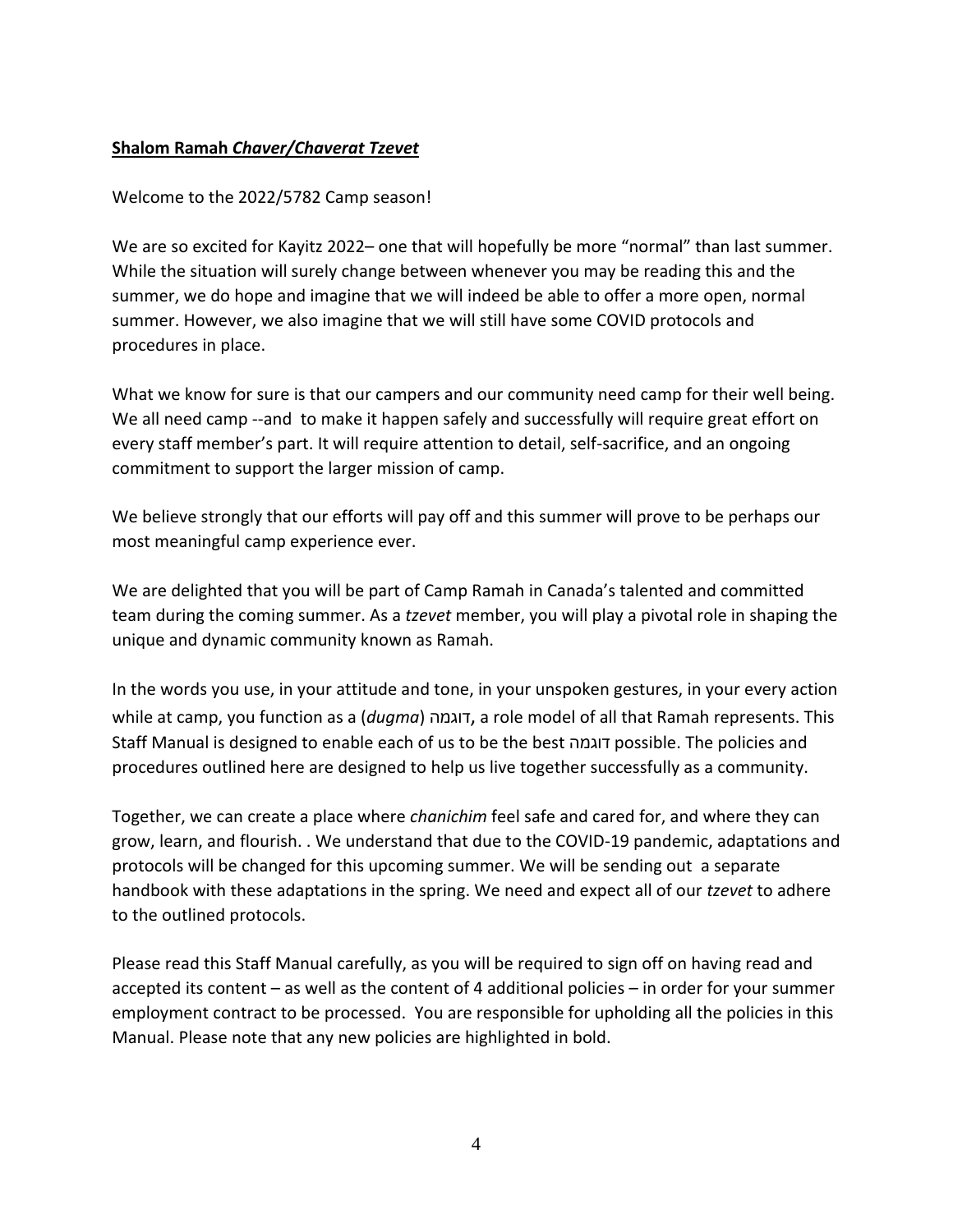## **Shalom Ramah** *Chaver/Chaverat Tzevet*

### Welcome to the 2022/5782 Camp season!

We are so excited for Kayitz 2022– one that will hopefully be more "normal" than last summer. While the situation will surely change between whenever you may be reading this and the summer, we do hope and imagine that we will indeed be able to offer a more open, normal summer. However, we also imagine that we will still have some COVID protocols and procedures in place.

What we know for sure is that our campers and our community need camp for their well being. We all need camp --and to make it happen safely and successfully will require great effort on every staff member's part. It will require attention to detail, self-sacrifice, and an ongoing commitment to support the larger mission of camp.

We believe strongly that our efforts will pay off and this summer will prove to be perhaps our most meaningful camp experience ever.

We are delighted that you will be part of Camp Ramah in Canada's talented and committed team during the coming summer. As a *tzevet* member, you will play a pivotal role in shaping the unique and dynamic community known as Ramah.

In the words you use, in your attitude and tone, in your unspoken gestures, in your every action while at camp, you function as a (*dugma*) דוגמה, a role model of all that Ramah represents. This Staff Manual is designed to enable each of us to be the best דוגמה possible. The policies and procedures outlined here are designed to help us live together successfully as a community.

Together, we can create a place where *chanichim* feel safe and cared for, and where they can grow, learn, and flourish. . We understand that due to the COVID-19 pandemic, adaptations and protocols will be changed for this upcoming summer. We will be sending out a separate handbook with these adaptations in the spring. We need and expect all of our *tzevet* to adhere to the outlined protocols.

Please read this Staff Manual carefully, as you will be required to sign off on having read and accepted its content – as well as the content of 4 additional policies – in order for your summer employment contract to be processed. You are responsible for upholding all the policies in this Manual. Please note that any new policies are highlighted in bold.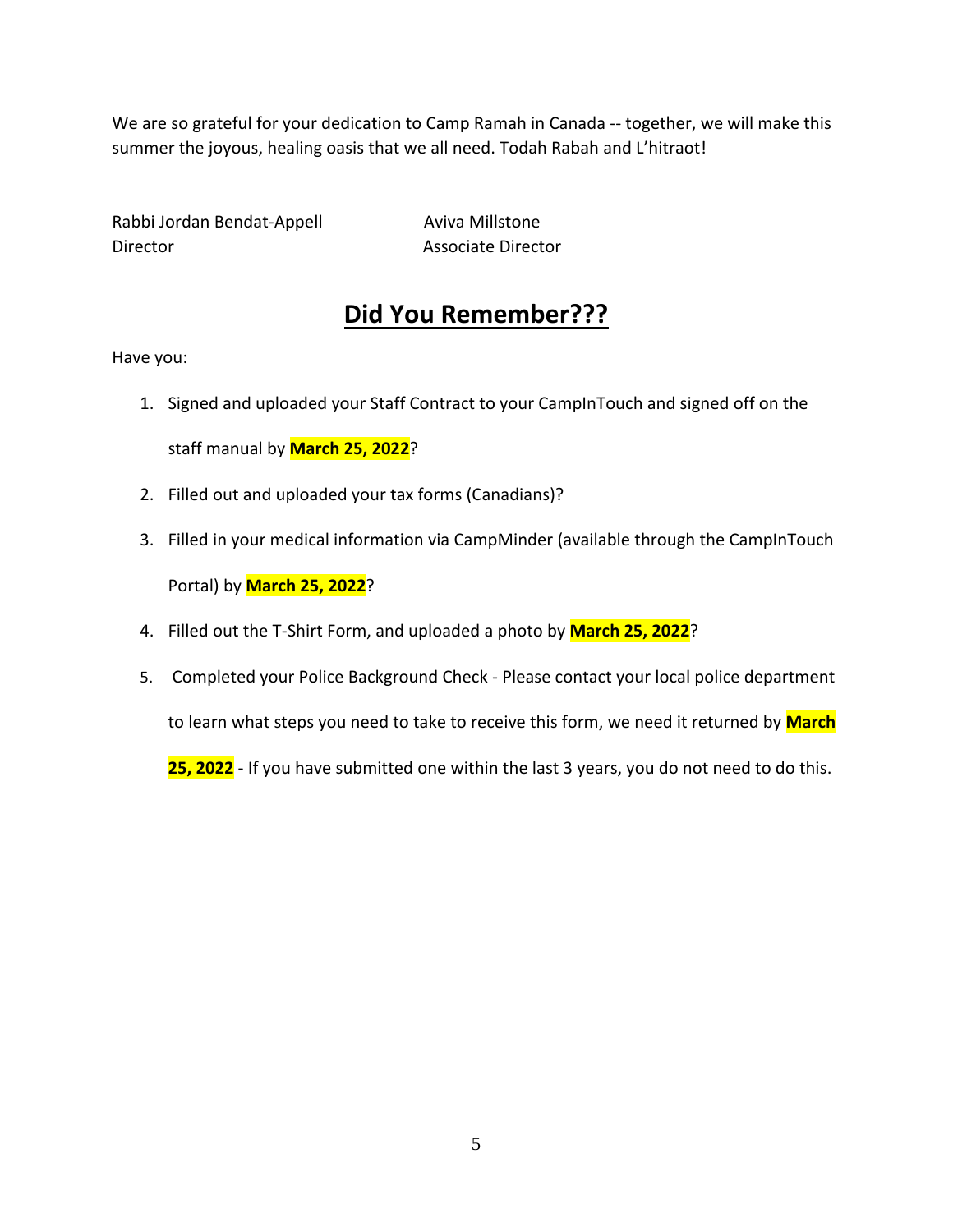We are so grateful for your dedication to Camp Ramah in Canada -- together, we will make this summer the joyous, healing oasis that we all need. Todah Rabah and L'hitraot!

Rabbi Jordan Bendat-Appell Aviva Millstone Director **Associate Director** 

## **Did You Remember???**

Have you:

- 1. Signed and uploaded your Staff Contract to your CampInTouch and signed off on the staff manual by **March 25, 2022**?
- 2. Filled out and uploaded your tax forms (Canadians)?
- 3. Filled in your medical information via CampMinder (available through the CampInTouch Portal) by **March 25, 2022**?
- 4. Filled out the T-Shirt Form, and uploaded a photo by **March 25, 2022**?
- 5. Completed your Police Background Check Please contact your local police department

to learn what steps you need to take to receive this form, we need it returned by **March** 

**25, 2022** - If you have submitted one within the last 3 years, you do not need to do this.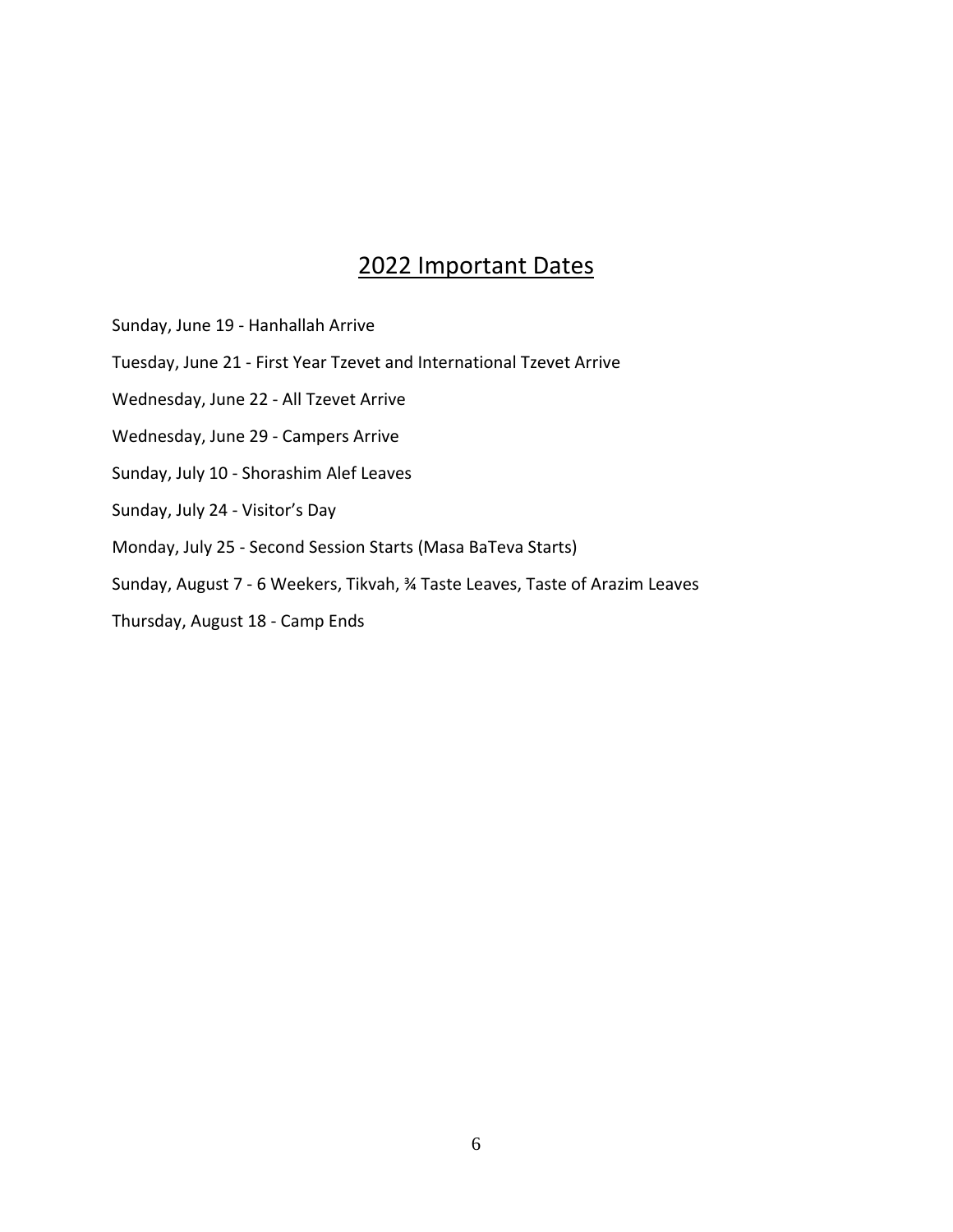## 2022 Important Dates

- Sunday, June 19 Hanhallah Arrive
- Tuesday, June 21 First Year Tzevet and International Tzevet Arrive
- Wednesday, June 22 All Tzevet Arrive
- Wednesday, June 29 Campers Arrive
- Sunday, July 10 Shorashim Alef Leaves
- Sunday, July 24 Visitor's Day
- Monday, July 25 Second Session Starts (Masa BaTeva Starts)
- Sunday, August 7 6 Weekers, Tikvah, ¾ Taste Leaves, Taste of Arazim Leaves
- Thursday, August 18 Camp Ends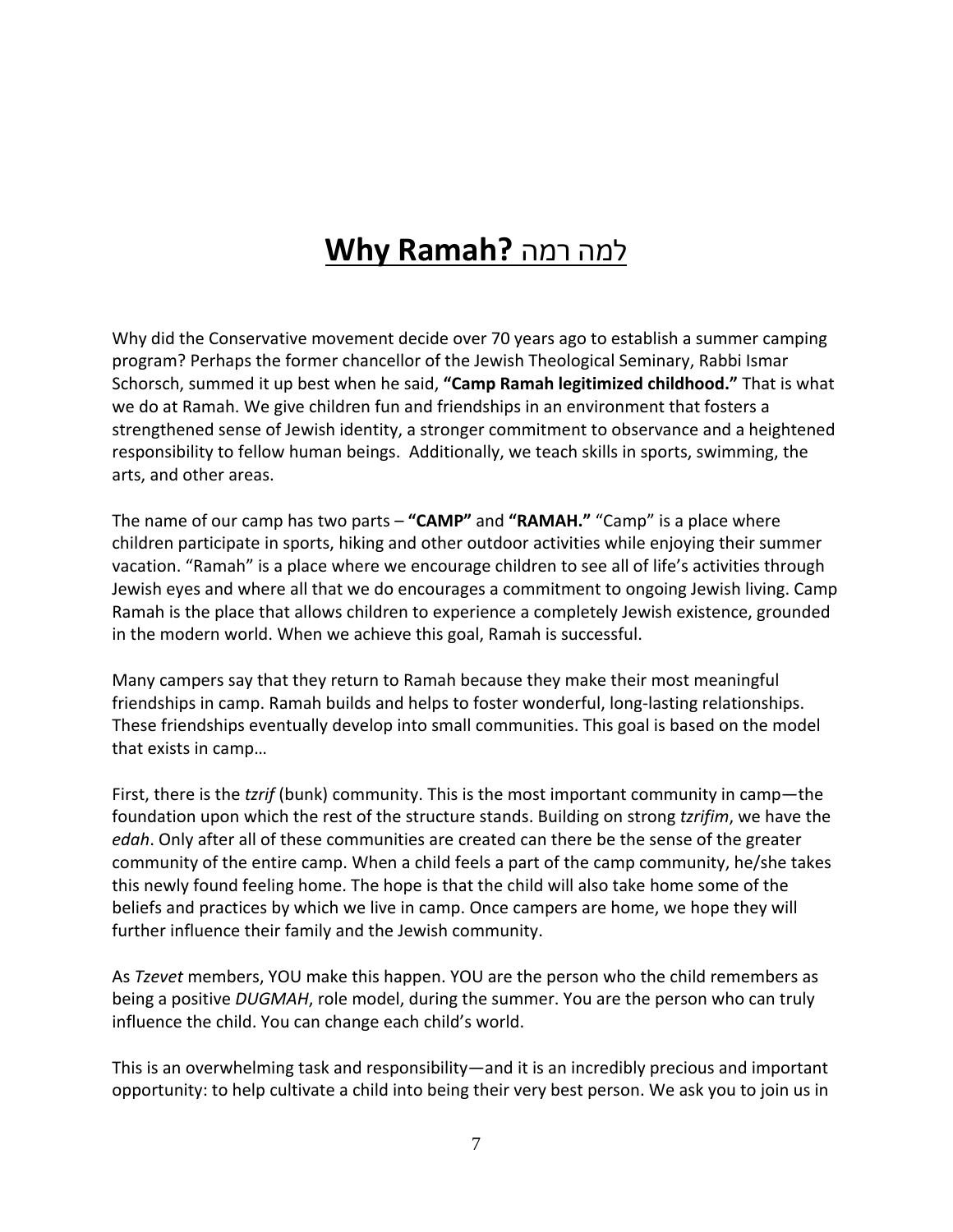# למה רמה **?Ramah Why**

Why did the Conservative movement decide over 70 years ago to establish a summer camping program? Perhaps the former chancellor of the Jewish Theological Seminary, Rabbi Ismar Schorsch, summed it up best when he said, **"Camp Ramah legitimized childhood."** That is what we do at Ramah. We give children fun and friendships in an environment that fosters a strengthened sense of Jewish identity, a stronger commitment to observance and a heightened responsibility to fellow human beings. Additionally, we teach skills in sports, swimming, the arts, and other areas.

The name of our camp has two parts – **"CAMP"** and **"RAMAH."** "Camp" is a place where children participate in sports, hiking and other outdoor activities while enjoying their summer vacation. "Ramah" is a place where we encourage children to see all of life's activities through Jewish eyes and where all that we do encourages a commitment to ongoing Jewish living. Camp Ramah is the place that allows children to experience a completely Jewish existence, grounded in the modern world. When we achieve this goal, Ramah is successful.

Many campers say that they return to Ramah because they make their most meaningful friendships in camp. Ramah builds and helps to foster wonderful, long-lasting relationships. These friendships eventually develop into small communities. This goal is based on the model that exists in camp…

First, there is the *tzrif* (bunk) community. This is the most important community in camp—the foundation upon which the rest of the structure stands. Building on strong *tzrifim*, we have the *edah*. Only after all of these communities are created can there be the sense of the greater community of the entire camp. When a child feels a part of the camp community, he/she takes this newly found feeling home. The hope is that the child will also take home some of the beliefs and practices by which we live in camp. Once campers are home, we hope they will further influence their family and the Jewish community.

As *Tzevet* members, YOU make this happen. YOU are the person who the child remembers as being a positive *DUGMAH*, role model, during the summer. You are the person who can truly influence the child. You can change each child's world.

This is an overwhelming task and responsibility—and it is an incredibly precious and important opportunity: to help cultivate a child into being their very best person. We ask you to join us in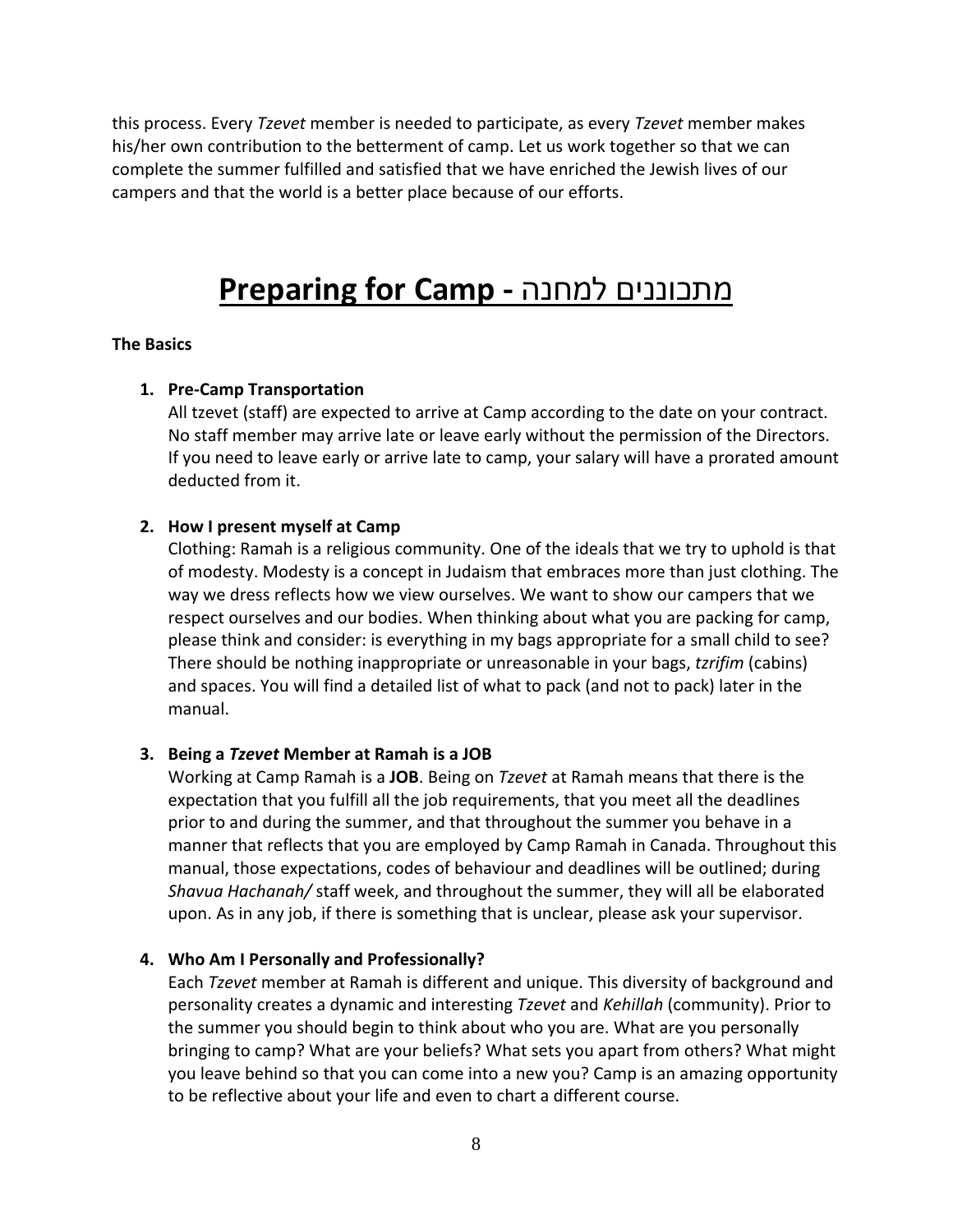this process. Every *Tzevet* member is needed to participate, as every *Tzevet* member makes his/her own contribution to the betterment of camp. Let us work together so that we can complete the summer fulfilled and satisfied that we have enriched the Jewish lives of our campers and that the world is a better place because of our efforts.

## **Preparing for Camp -** למחנה מתכוננים

#### **The Basics**

#### **1. Pre-Camp Transportation**

All tzevet (staff) are expected to arrive at Camp according to the date on your contract. No staff member may arrive late or leave early without the permission of the Directors. If you need to leave early or arrive late to camp, your salary will have a prorated amount deducted from it.

#### **2. How I present myself at Camp**

Clothing: Ramah is a religious community. One of the ideals that we try to uphold is that of modesty. Modesty is a concept in Judaism that embraces more than just clothing. The way we dress reflects how we view ourselves. We want to show our campers that we respect ourselves and our bodies. When thinking about what you are packing for camp, please think and consider: is everything in my bags appropriate for a small child to see? There should be nothing inappropriate or unreasonable in your bags, *tzrifim* (cabins) and spaces. You will find a detailed list of what to pack (and not to pack) later in the manual.

#### **3. Being a** *Tzevet* **Member at Ramah is a JOB**

Working at Camp Ramah is a **JOB**. Being on *Tzevet* at Ramah means that there is the expectation that you fulfill all the job requirements, that you meet all the deadlines prior to and during the summer, and that throughout the summer you behave in a manner that reflects that you are employed by Camp Ramah in Canada. Throughout this manual, those expectations, codes of behaviour and deadlines will be outlined; during *Shavua Hachanah/* staff week, and throughout the summer, they will all be elaborated upon. As in any job, if there is something that is unclear, please ask your supervisor.

#### **4. Who Am I Personally and Professionally?**

Each *Tzevet* member at Ramah is different and unique. This diversity of background and personality creates a dynamic and interesting *Tzevet* and *Kehillah* (community). Prior to the summer you should begin to think about who you are. What are you personally bringing to camp? What are your beliefs? What sets you apart from others? What might you leave behind so that you can come into a new you? Camp is an amazing opportunity to be reflective about your life and even to chart a different course.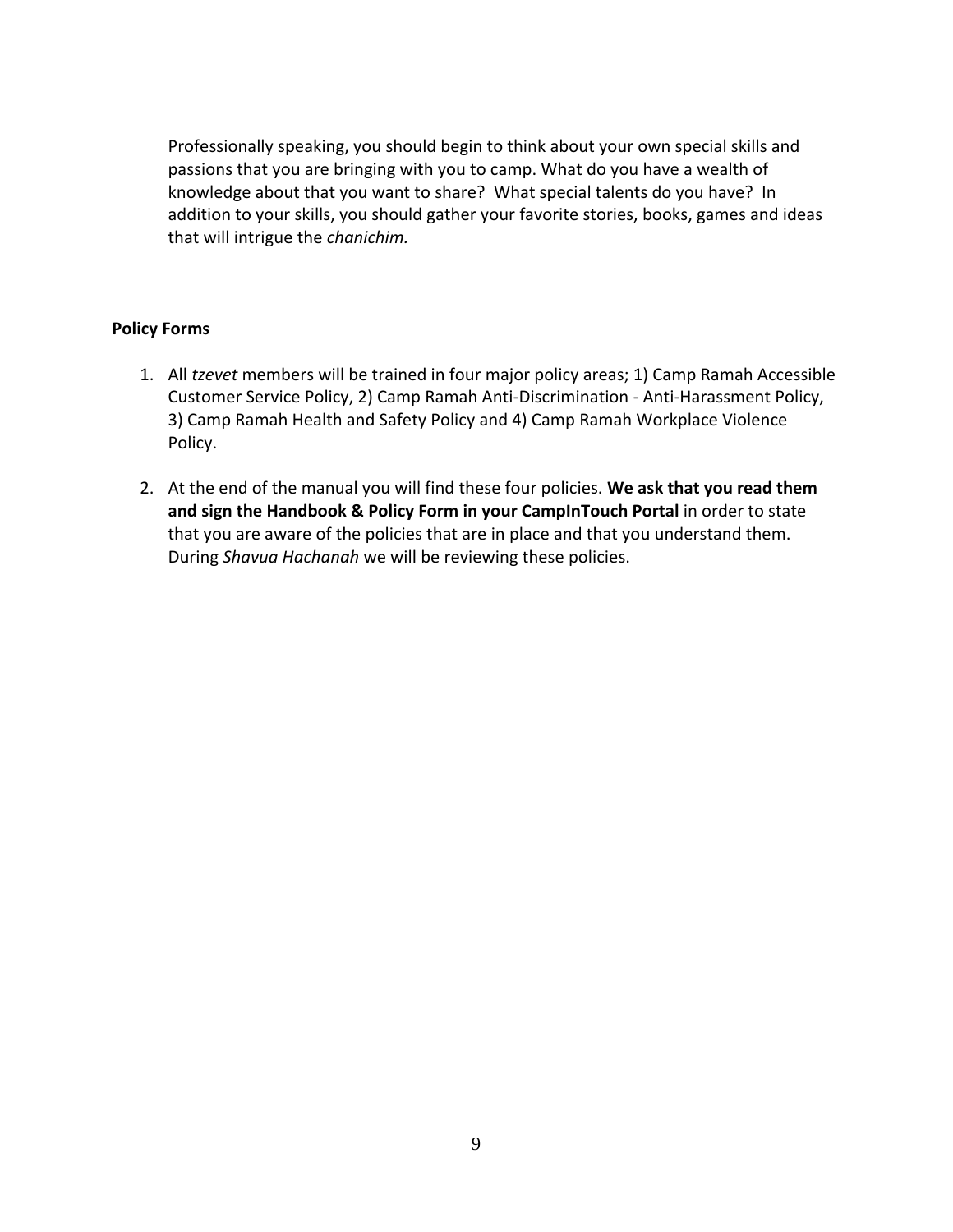Professionally speaking, you should begin to think about your own special skills and passions that you are bringing with you to camp. What do you have a wealth of knowledge about that you want to share? What special talents do you have? In addition to your skills, you should gather your favorite stories, books, games and ideas that will intrigue the *chanichim.*

### **Policy Forms**

- 1. All *tzevet* members will be trained in four major policy areas; 1) Camp Ramah Accessible Customer Service Policy, 2) Camp Ramah Anti-Discrimination - Anti-Harassment Policy, 3) Camp Ramah Health and Safety Policy and 4) Camp Ramah Workplace Violence Policy.
- 2. At the end of the manual you will find these four policies. **We ask that you read them and sign the Handbook & Policy Form in your CampInTouch Portal** in order to state that you are aware of the policies that are in place and that you understand them. During *Shavua Hachanah* we will be reviewing these policies.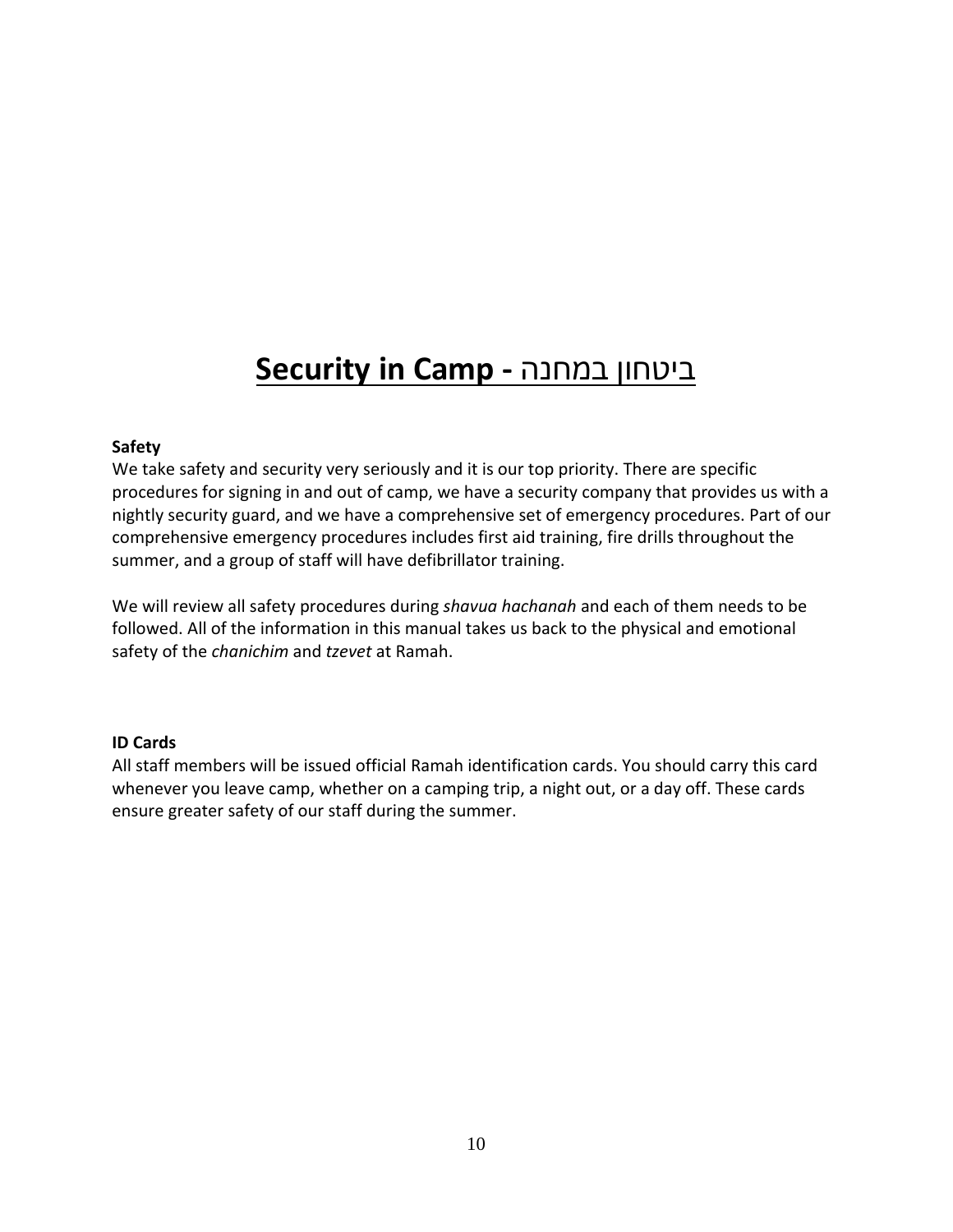# **Security in Camp -** במחנה ביטחון

#### **Safety**

We take safety and security very seriously and it is our top priority. There are specific procedures for signing in and out of camp, we have a security company that provides us with a nightly security guard, and we have a comprehensive set of emergency procedures. Part of our comprehensive emergency procedures includes first aid training, fire drills throughout the summer, and a group of staff will have defibrillator training.

We will review all safety procedures during *shavua hachanah* and each of them needs to be followed. All of the information in this manual takes us back to the physical and emotional safety of the *chanichim* and *tzevet* at Ramah.

#### **ID Cards**

All staff members will be issued official Ramah identification cards. You should carry this card whenever you leave camp, whether on a camping trip, a night out, or a day off. These cards ensure greater safety of our staff during the summer.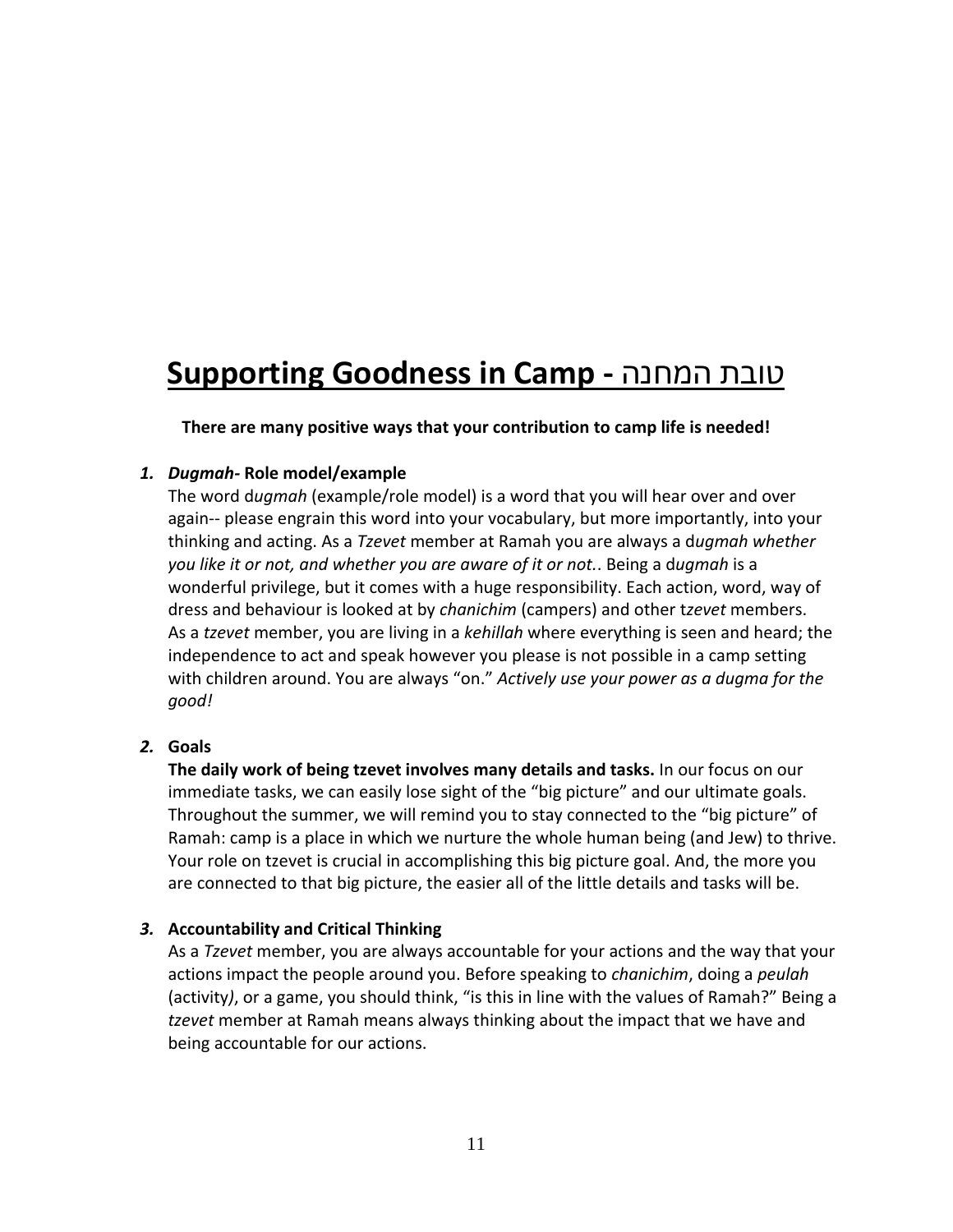# **Supporting Goodness in Camp -** המחנה טובת

**There are many positive ways that your contribution to camp life is needed!**

### *1. Dugmah-* **Role model/example**

The word d*ugmah* (example/role model) is a word that you will hear over and over again-- please engrain this word into your vocabulary, but more importantly, into your thinking and acting. As a *Tzevet* member at Ramah you are always a d*ugmah whether you like it or not, and whether you are aware of it or not.*. Being a d*ugmah* is a wonderful privilege, but it comes with a huge responsibility. Each action, word, way of dress and behaviour is looked at by *chanichim* (campers) and other t*zevet* members. As a *tzevet* member, you are living in a *kehillah* where everything is seen and heard; the independence to act and speak however you please is not possible in a camp setting with children around. You are always "on." *Actively use your power as a dugma for the good!*

## *2.* **Goals**

**The daily work of being tzevet involves many details and tasks.** In our focus on our immediate tasks, we can easily lose sight of the "big picture" and our ultimate goals. Throughout the summer, we will remind you to stay connected to the "big picture" of Ramah: camp is a place in which we nurture the whole human being (and Jew) to thrive. Your role on tzevet is crucial in accomplishing this big picture goal. And, the more you are connected to that big picture, the easier all of the little details and tasks will be.

## *3.* **Accountability and Critical Thinking**

As a *Tzevet* member, you are always accountable for your actions and the way that your actions impact the people around you. Before speaking to *chanichim*, doing a *peulah* (activity*)*, or a game, you should think, "is this in line with the values of Ramah?" Being a *tzevet* member at Ramah means always thinking about the impact that we have and being accountable for our actions.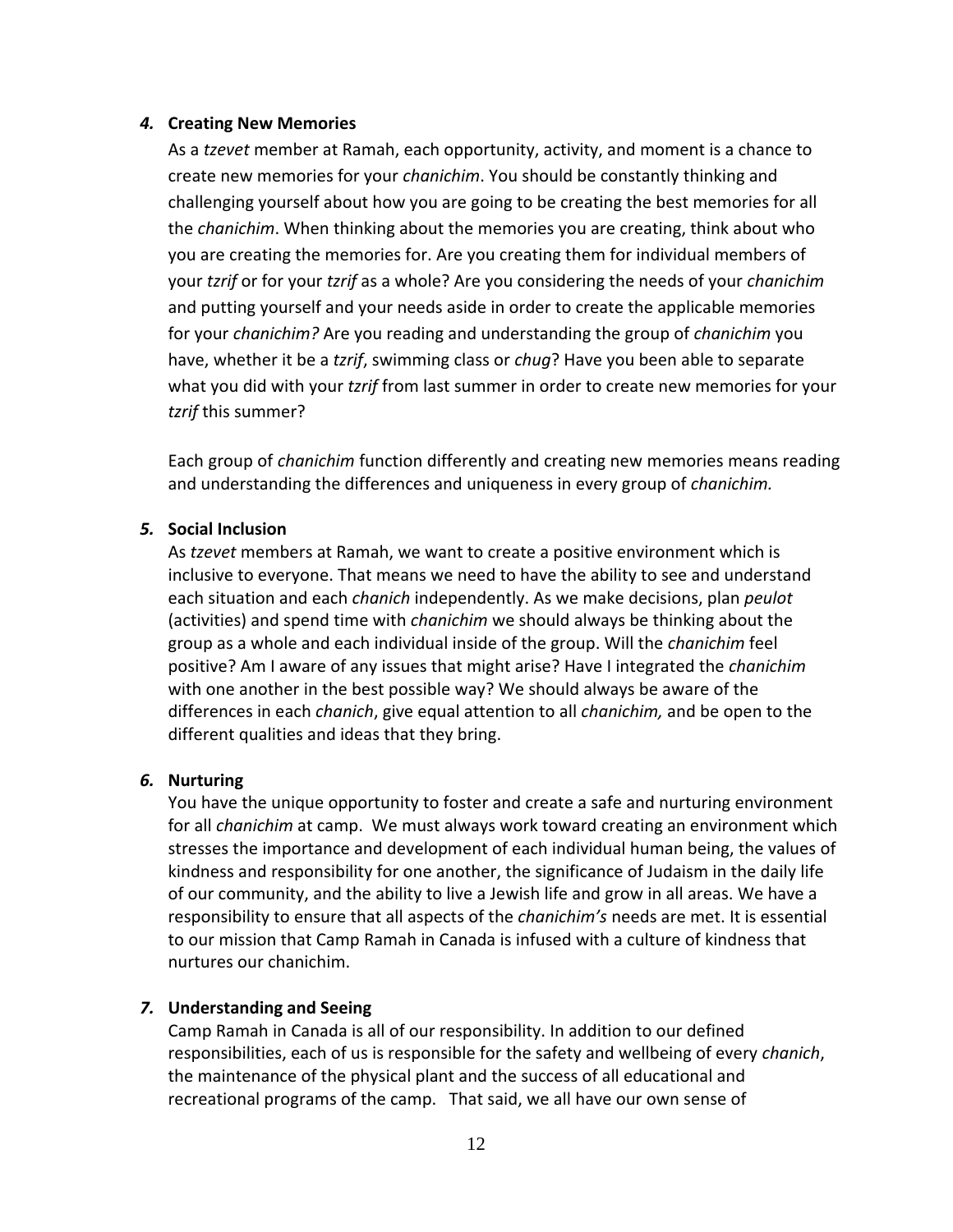#### *4.* **Creating New Memories**

As a *tzevet* member at Ramah, each opportunity, activity, and moment is a chance to create new memories for your *chanichim*. You should be constantly thinking and challenging yourself about how you are going to be creating the best memories for all the *chanichim*. When thinking about the memories you are creating, think about who you are creating the memories for. Are you creating them for individual members of your *tzrif* or for your *tzrif* as a whole? Are you considering the needs of your *chanichim* and putting yourself and your needs aside in order to create the applicable memories for your *chanichim?* Are you reading and understanding the group of *chanichim* you have, whether it be a *tzrif*, swimming class or *chug*? Have you been able to separate what you did with your *tzrif* from last summer in order to create new memories for your *tzrif* this summer?

Each group of *chanichim* function differently and creating new memories means reading and understanding the differences and uniqueness in every group of *chanichim.*

#### *5.* **Social Inclusion**

As *tzevet* members at Ramah, we want to create a positive environment which is inclusive to everyone. That means we need to have the ability to see and understand each situation and each *chanich* independently. As we make decisions, plan *peulot* (activities) and spend time with *chanichim* we should always be thinking about the group as a whole and each individual inside of the group. Will the *chanichim* feel positive? Am I aware of any issues that might arise? Have I integrated the *chanichim*  with one another in the best possible way? We should always be aware of the differences in each *chanich*, give equal attention to all *chanichim,* and be open to the different qualities and ideas that they bring.

#### *6.* **Nurturing**

You have the unique opportunity to foster and create a safe and nurturing environment for all *chanichim* at camp. We must always work toward creating an environment which stresses the importance and development of each individual human being, the values of kindness and responsibility for one another, the significance of Judaism in the daily life of our community, and the ability to live a Jewish life and grow in all areas. We have a responsibility to ensure that all aspects of the *chanichim's* needs are met. It is essential to our mission that Camp Ramah in Canada is infused with a culture of kindness that nurtures our chanichim.

#### *7.* **Understanding and Seeing**

Camp Ramah in Canada is all of our responsibility. In addition to our defined responsibilities, each of us is responsible for the safety and wellbeing of every *chanich*, the maintenance of the physical plant and the success of all educational and recreational programs of the camp. That said, we all have our own sense of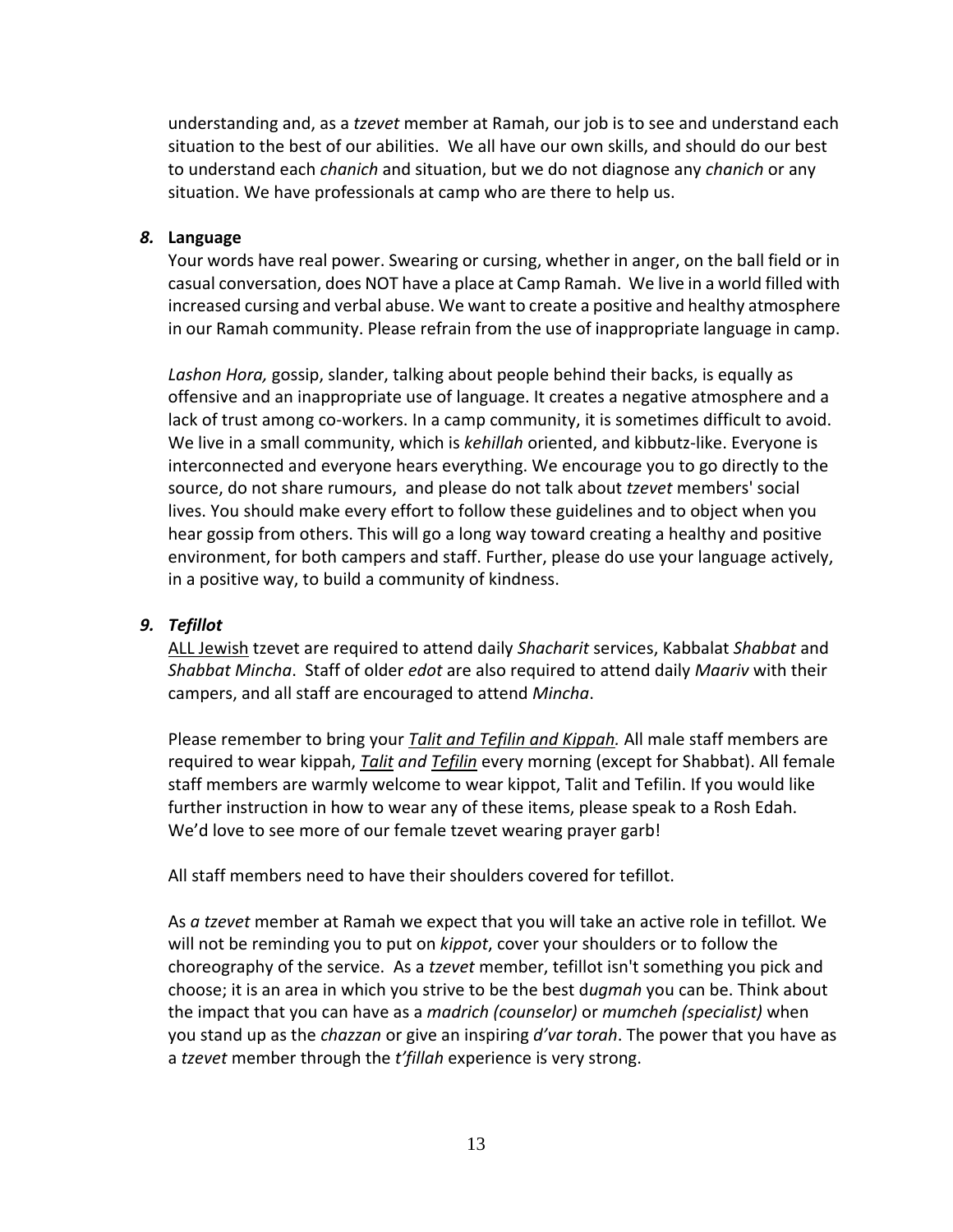understanding and, as a *tzevet* member at Ramah, our job is to see and understand each situation to the best of our abilities. We all have our own skills, and should do our best to understand each *chanich* and situation, but we do not diagnose any *chanich* or any situation. We have professionals at camp who are there to help us.

#### *8.* **Language**

Your words have real power. Swearing or cursing, whether in anger, on the ball field or in casual conversation, does NOT have a place at Camp Ramah. We live in a world filled with increased cursing and verbal abuse. We want to create a positive and healthy atmosphere in our Ramah community. Please refrain from the use of inappropriate language in camp.

*Lashon Hora,* gossip, slander, talking about people behind their backs, is equally as offensive and an inappropriate use of language. It creates a negative atmosphere and a lack of trust among co-workers. In a camp community, it is sometimes difficult to avoid. We live in a small community, which is *kehillah* oriented, and kibbutz-like. Everyone is interconnected and everyone hears everything. We encourage you to go directly to the source, do not share rumours, and please do not talk about *tzevet* members' social lives. You should make every effort to follow these guidelines and to object when you hear gossip from others. This will go a long way toward creating a healthy and positive environment, for both campers and staff. Further, please do use your language actively, in a positive way, to build a community of kindness.

#### *9. Tefillot*

ALL Jewish tzevet are required to attend daily *Shacharit* services, Kabbalat *Shabbat* and *Shabbat Mincha*. Staff of older *edot* are also required to attend daily *Maariv* with their campers, and all staff are encouraged to attend *Mincha*.

Please remember to bring your *Talit and Tefilin and Kippah.* All male staff members are required to wear kippah, *Talit and Tefilin* every morning (except for Shabbat). All female staff members are warmly welcome to wear kippot, Talit and Tefilin. If you would like further instruction in how to wear any of these items, please speak to a Rosh Edah. We'd love to see more of our female tzevet wearing prayer garb!

All staff members need to have their shoulders covered for tefillot.

As *a tzevet* member at Ramah we expect that you will take an active role in tefillot*.* We will not be reminding you to put on *kippot*, cover your shoulders or to follow the choreography of the service. As a *tzevet* member, tefillot isn't something you pick and choose; it is an area in which you strive to be the best d*ugmah* you can be. Think about the impact that you can have as a *madrich (counselor)* or *mumcheh (specialist)* when you stand up as the *chazzan* or give an inspiring *d'var torah*. The power that you have as a *tzevet* member through the *t'fillah* experience is very strong.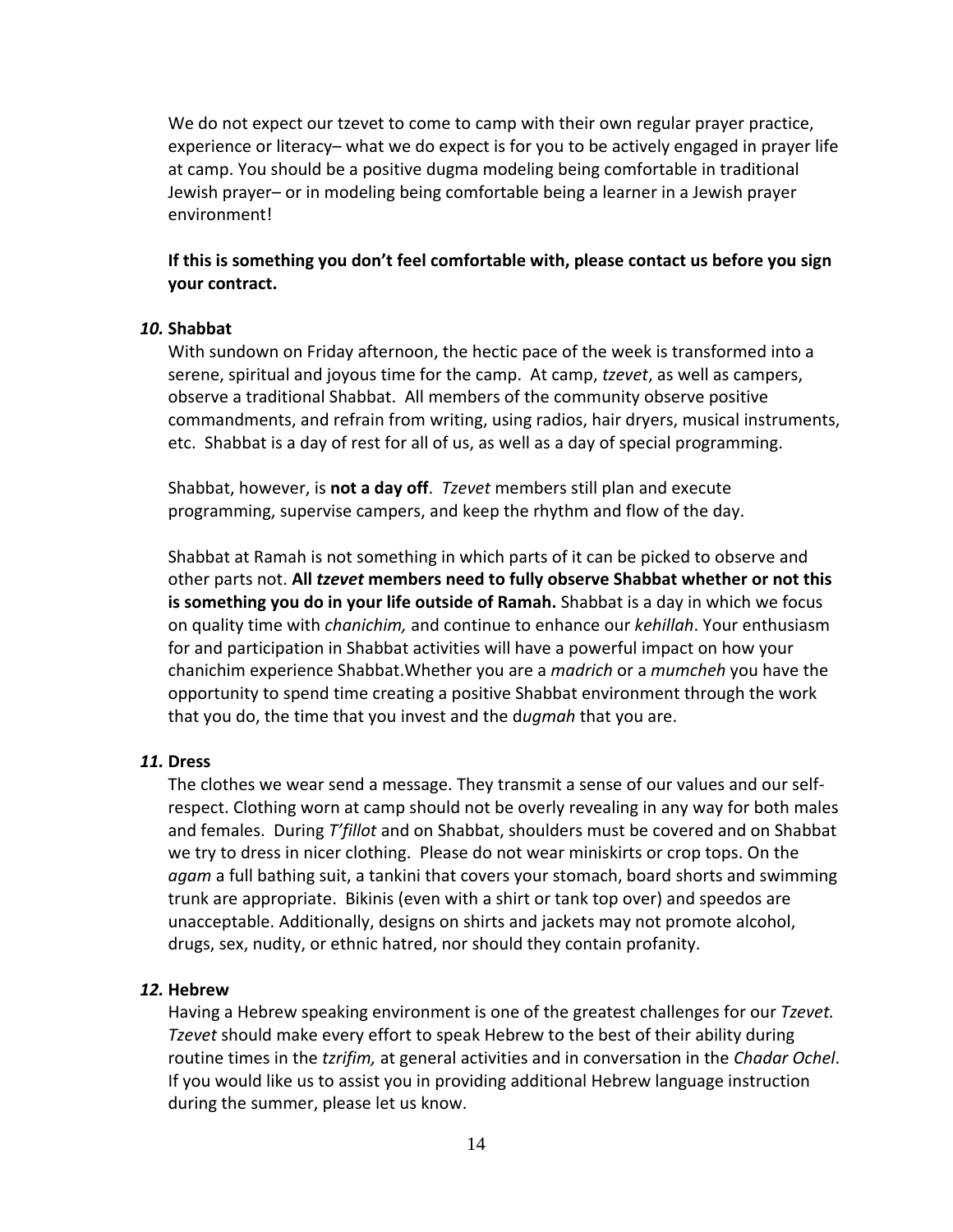We do not expect our tzevet to come to camp with their own regular prayer practice, experience or literacy– what we do expect is for you to be actively engaged in prayer life at camp. You should be a positive dugma modeling being comfortable in traditional Jewish prayer– or in modeling being comfortable being a learner in a Jewish prayer environment!

### **If this is something you don't feel comfortable with, please contact us before you sign your contract.**

#### *10.* **Shabbat**

With sundown on Friday afternoon, the hectic pace of the week is transformed into a serene, spiritual and joyous time for the camp. At camp, *tzevet*, as well as campers, observe a traditional Shabbat. All members of the community observe positive commandments, and refrain from writing, using radios, hair dryers, musical instruments, etc. Shabbat is a day of rest for all of us, as well as a day of special programming.

Shabbat, however, is **not a day off**. *Tzevet* members still plan and execute programming, supervise campers, and keep the rhythm and flow of the day.

Shabbat at Ramah is not something in which parts of it can be picked to observe and other parts not. **All** *tzevet* **members need to fully observe Shabbat whether or not this is something you do in your life outside of Ramah.** Shabbat is a day in which we focus on quality time with *chanichim,* and continue to enhance our *kehillah*. Your enthusiasm for and participation in Shabbat activities will have a powerful impact on how your chanichim experience Shabbat.Whether you are a *madrich* or a *mumcheh* you have the opportunity to spend time creating a positive Shabbat environment through the work that you do, the time that you invest and the d*ugmah* that you are.

#### *11.* **Dress**

The clothes we wear send a message. They transmit a sense of our values and our selfrespect. Clothing worn at camp should not be overly revealing in any way for both males and females. During *T'fillot* and on Shabbat, shoulders must be covered and on Shabbat we try to dress in nicer clothing. Please do not wear miniskirts or crop tops. On the *agam* a full bathing suit, a tankini that covers your stomach, board shorts and swimming trunk are appropriate. Bikinis (even with a shirt or tank top over) and speedos are unacceptable. Additionally, designs on shirts and jackets may not promote alcohol, drugs, sex, nudity, or ethnic hatred, nor should they contain profanity.

#### *12.* **Hebrew**

Having a Hebrew speaking environment is one of the greatest challenges for our *Tzevet. Tzevet* should make every effort to speak Hebrew to the best of their ability during routine times in the *tzrifim,* at general activities and in conversation in the *Chadar Ochel*. If you would like us to assist you in providing additional Hebrew language instruction during the summer, please let us know.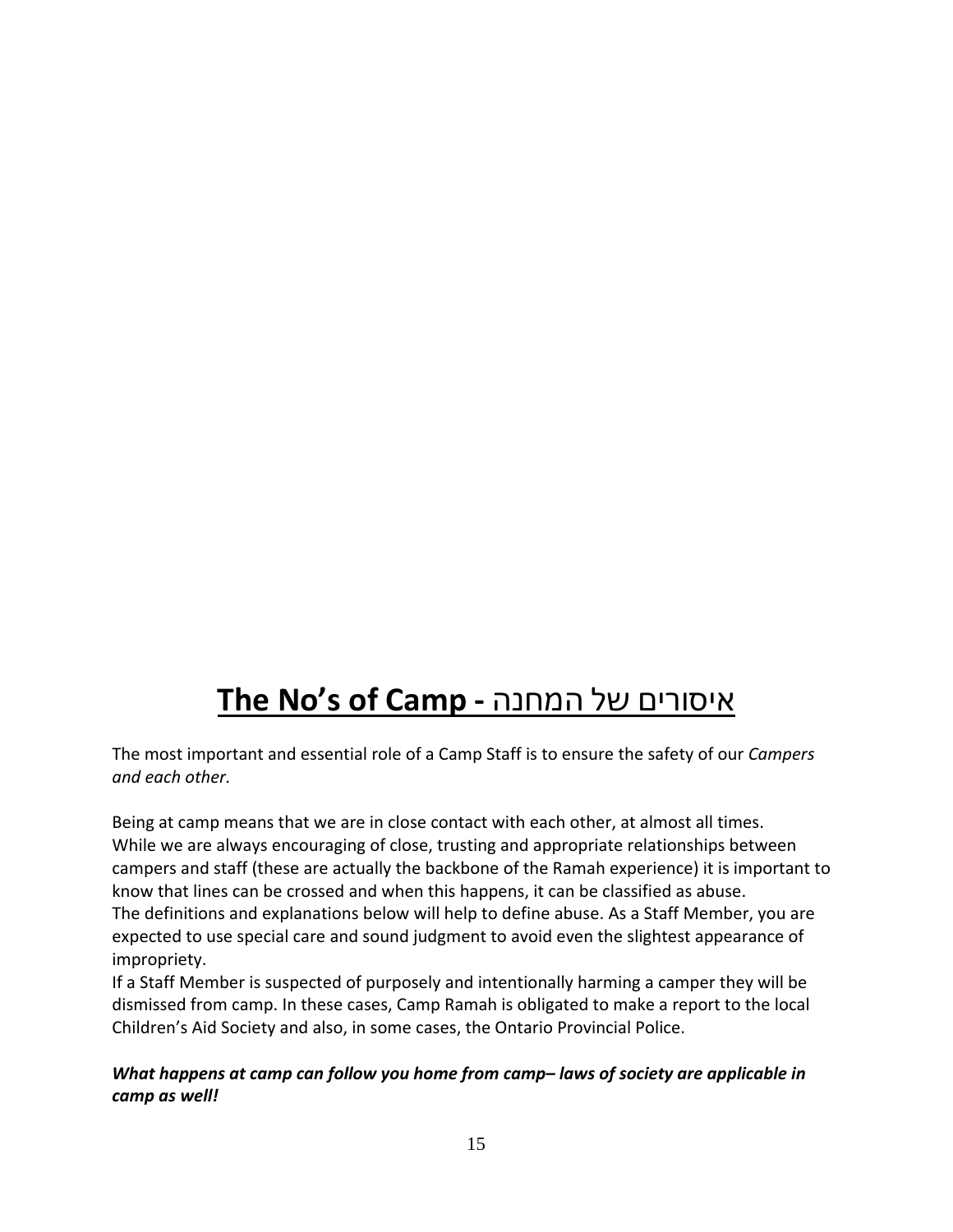# **The No's of Camp -** המחנה של איסורים

The most important and essential role of a Camp Staff is to ensure the safety of our *Campers and each other.*

Being at camp means that we are in close contact with each other, at almost all times. While we are always encouraging of close, trusting and appropriate relationships between campers and staff (these are actually the backbone of the Ramah experience) it is important to know that lines can be crossed and when this happens, it can be classified as abuse. The definitions and explanations below will help to define abuse. As a Staff Member, you are expected to use special care and sound judgment to avoid even the slightest appearance of impropriety.

If a Staff Member is suspected of purposely and intentionally harming a camper they will be dismissed from camp. In these cases, Camp Ramah is obligated to make a report to the local Children's Aid Society and also, in some cases, the Ontario Provincial Police.

## *What happens at camp can follow you home from camp– laws of society are applicable in camp as well!*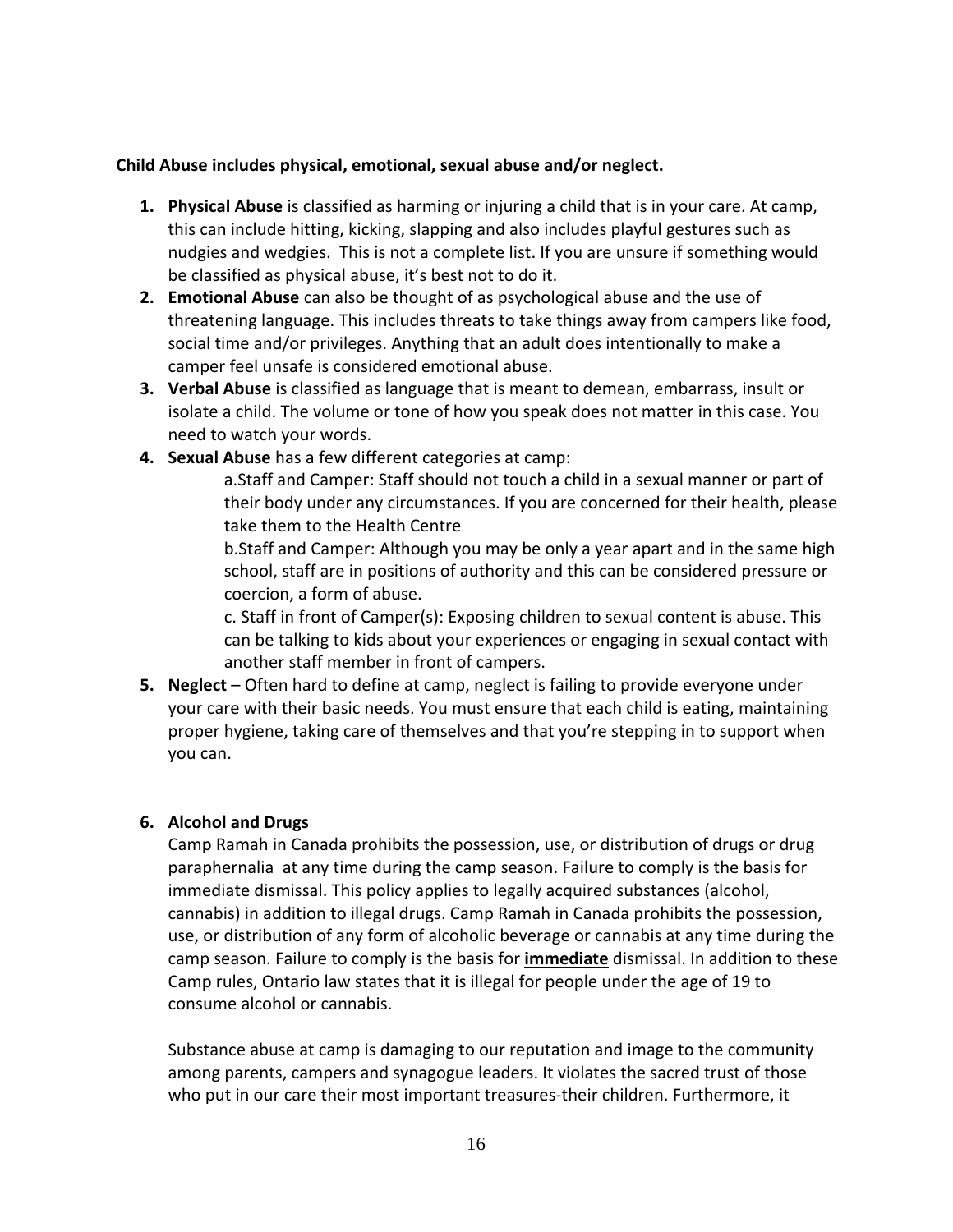#### **Child Abuse includes physical, emotional, sexual abuse and/or neglect.**

- **1. Physical Abuse** is classified as harming or injuring a child that is in your care. At camp, this can include hitting, kicking, slapping and also includes playful gestures such as nudgies and wedgies. This is not a complete list. If you are unsure if something would be classified as physical abuse, it's best not to do it.
- **2. Emotional Abuse** can also be thought of as psychological abuse and the use of threatening language. This includes threats to take things away from campers like food, social time and/or privileges. Anything that an adult does intentionally to make a camper feel unsafe is considered emotional abuse.
- **3. Verbal Abuse** is classified as language that is meant to demean, embarrass, insult or isolate a child. The volume or tone of how you speak does not matter in this case. You need to watch your words.
- **4. Sexual Abuse** has a few different categories at camp:

a.Staff and Camper: Staff should not touch a child in a sexual manner or part of their body under any circumstances. If you are concerned for their health, please take them to the Health Centre

b.Staff and Camper: Although you may be only a year apart and in the same high school, staff are in positions of authority and this can be considered pressure or coercion, a form of abuse.

c. Staff in front of Camper(s): Exposing children to sexual content is abuse. This can be talking to kids about your experiences or engaging in sexual contact with another staff member in front of campers.

**5. Neglect** – Often hard to define at camp, neglect is failing to provide everyone under your care with their basic needs. You must ensure that each child is eating, maintaining proper hygiene, taking care of themselves and that you're stepping in to support when you can.

## **6. Alcohol and Drugs**

Camp Ramah in Canada prohibits the possession, use, or distribution of drugs or drug paraphernalia at any time during the camp season. Failure to comply is the basis for immediate dismissal. This policy applies to legally acquired substances (alcohol, cannabis) in addition to illegal drugs. Camp Ramah in Canada prohibits the possession, use, or distribution of any form of alcoholic beverage or cannabis at any time during the camp season. Failure to comply is the basis for **immediate** dismissal. In addition to these Camp rules, Ontario law states that it is illegal for people under the age of 19 to consume alcohol or cannabis.

Substance abuse at camp is damaging to our reputation and image to the community among parents, campers and synagogue leaders. It violates the sacred trust of those who put in our care their most important treasures-their children. Furthermore, it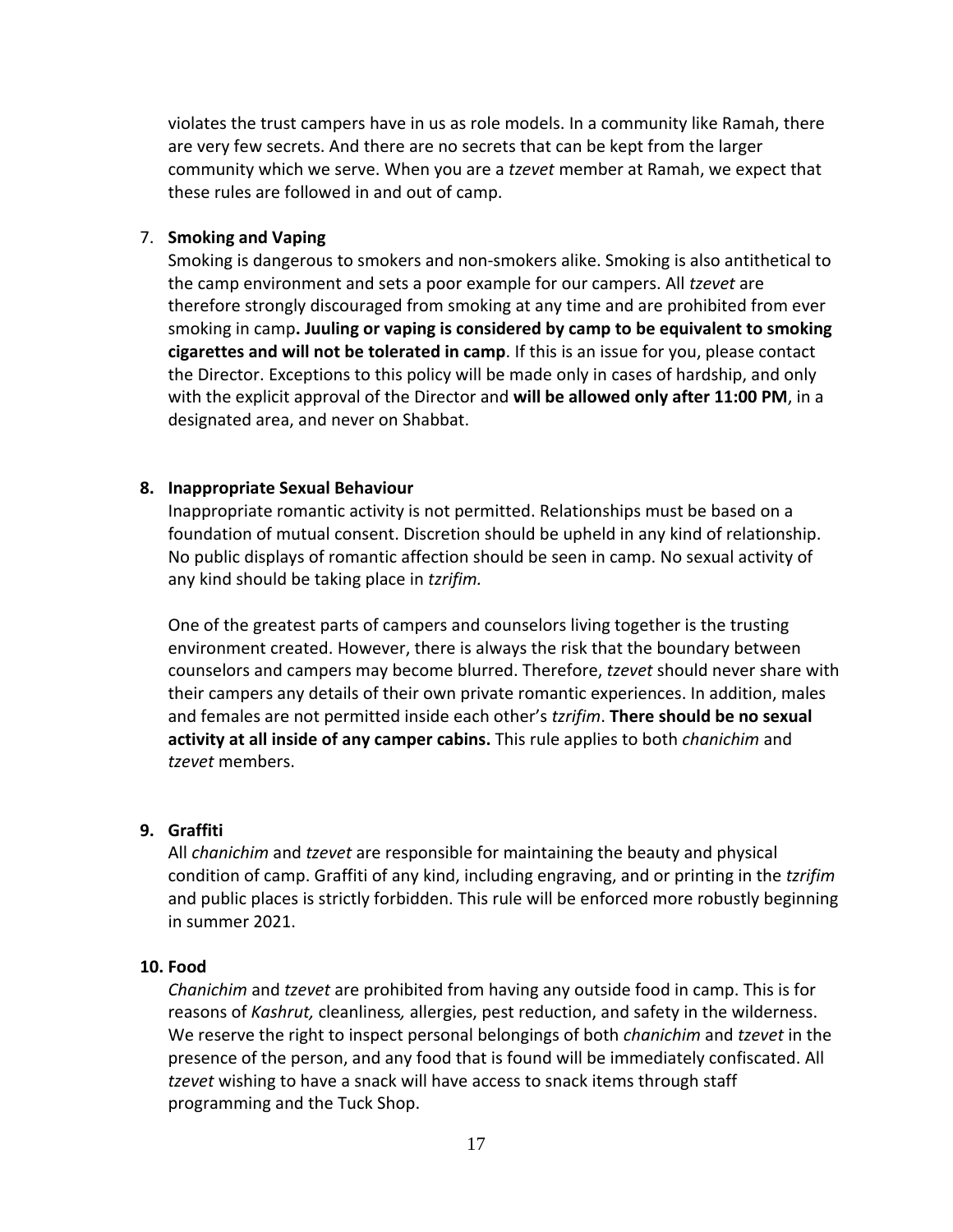violates the trust campers have in us as role models. In a community like Ramah, there are very few secrets. And there are no secrets that can be kept from the larger community which we serve. When you are a *tzevet* member at Ramah, we expect that these rules are followed in and out of camp.

#### 7. **Smoking and Vaping**

Smoking is dangerous to smokers and non-smokers alike. Smoking is also antithetical to the camp environment and sets a poor example for our campers. All *tzevet* are therefore strongly discouraged from smoking at any time and are prohibited from ever smoking in camp**. Juuling or vaping is considered by camp to be equivalent to smoking cigarettes and will not be tolerated in camp**. If this is an issue for you, please contact the Director. Exceptions to this policy will be made only in cases of hardship, and only with the explicit approval of the Director and **will be allowed only after 11:00 PM**, in a designated area, and never on Shabbat.

#### **8. Inappropriate Sexual Behaviour**

Inappropriate romantic activity is not permitted. Relationships must be based on a foundation of mutual consent. Discretion should be upheld in any kind of relationship. No public displays of romantic affection should be seen in camp. No sexual activity of any kind should be taking place in *tzrifim.*

One of the greatest parts of campers and counselors living together is the trusting environment created. However, there is always the risk that the boundary between counselors and campers may become blurred. Therefore, *tzevet* should never share with their campers any details of their own private romantic experiences. In addition, males and females are not permitted inside each other's *tzrifim*. **There should be no sexual activity at all inside of any camper cabins.** This rule applies to both *chanichim* and *tzevet* members.

#### **9. Graffiti**

All *chanichim* and *tzevet* are responsible for maintaining the beauty and physical condition of camp. Graffiti of any kind, including engraving, and or printing in the *tzrifim* and public places is strictly forbidden. This rule will be enforced more robustly beginning in summer 2021.

#### **10. Food**

*Chanichim* and *tzevet* are prohibited from having any outside food in camp. This is for reasons of *Kashrut,* cleanliness*,* allergies, pest reduction, and safety in the wilderness. We reserve the right to inspect personal belongings of both *chanichim* and *tzevet* in the presence of the person, and any food that is found will be immediately confiscated. All *tzevet* wishing to have a snack will have access to snack items through staff programming and the Tuck Shop.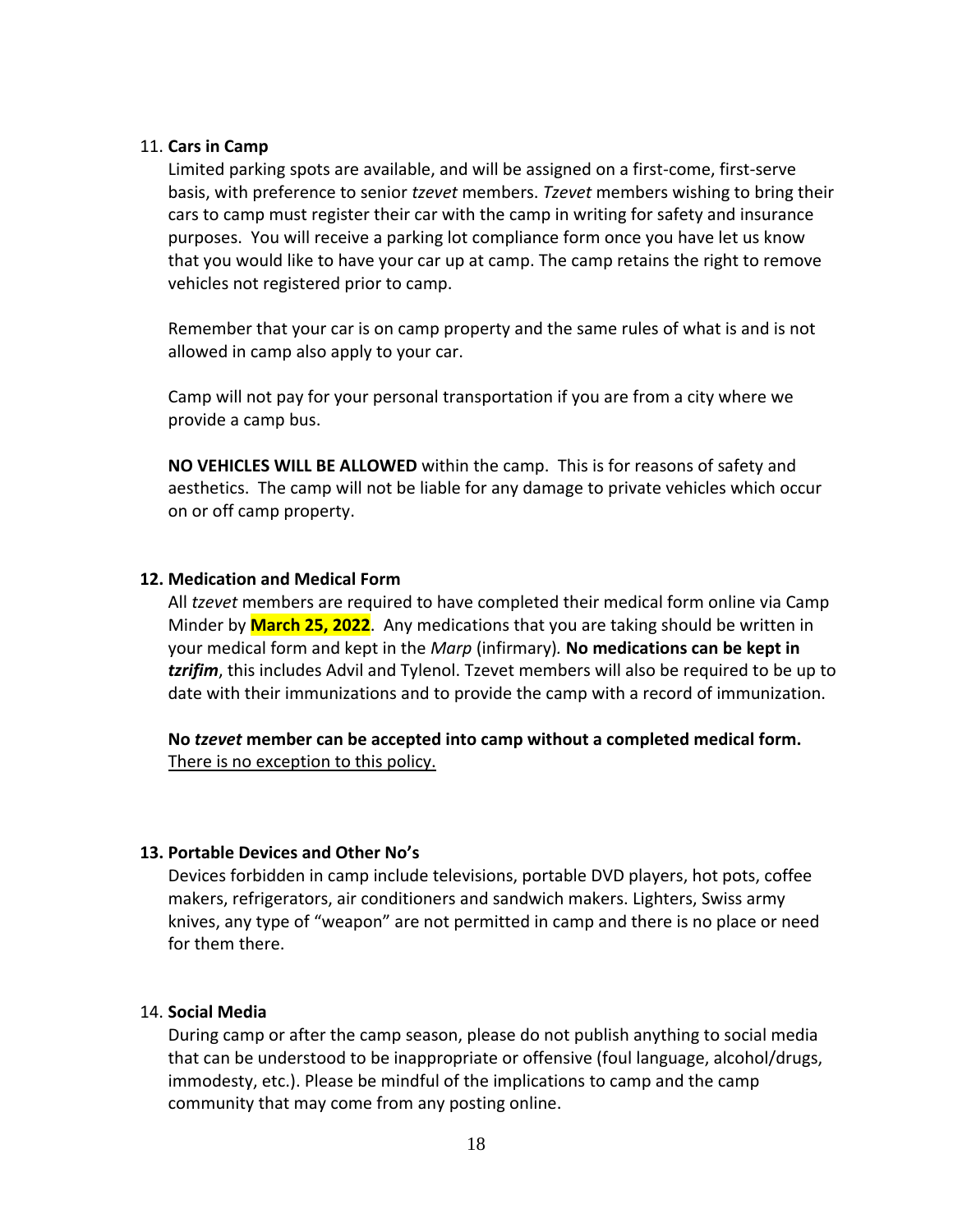#### 11. **Cars in Camp**

Limited parking spots are available, and will be assigned on a first-come, first-serve basis, with preference to senior *tzevet* members. *Tzevet* members wishing to bring their cars to camp must register their car with the camp in writing for safety and insurance purposes. You will receive a parking lot compliance form once you have let us know that you would like to have your car up at camp. The camp retains the right to remove vehicles not registered prior to camp.

Remember that your car is on camp property and the same rules of what is and is not allowed in camp also apply to your car.

Camp will not pay for your personal transportation if you are from a city where we provide a camp bus.

**NO VEHICLES WILL BE ALLOWED** within the camp. This is for reasons of safety and aesthetics. The camp will not be liable for any damage to private vehicles which occur on or off camp property.

#### **12. Medication and Medical Form**

All *tzevet* members are required to have completed their medical form online via Camp Minder by **March 25, 2022**. Any medications that you are taking should be written in your medical form and kept in the *Marp* (infirmary)*.* **No medications can be kept in**  *tzrifim*, this includes Advil and Tylenol. Tzevet members will also be required to be up to date with their immunizations and to provide the camp with a record of immunization.

**No** *tzevet* **member can be accepted into camp without a completed medical form.**  There is no exception to this policy.

#### **13. Portable Devices and Other No's**

Devices forbidden in camp include televisions, portable DVD players, hot pots, coffee makers, refrigerators, air conditioners and sandwich makers. Lighters, Swiss army knives, any type of "weapon" are not permitted in camp and there is no place or need for them there.

#### 14. **Social Media**

During camp or after the camp season, please do not publish anything to social media that can be understood to be inappropriate or offensive (foul language, alcohol/drugs, immodesty, etc.). Please be mindful of the implications to camp and the camp community that may come from any posting online.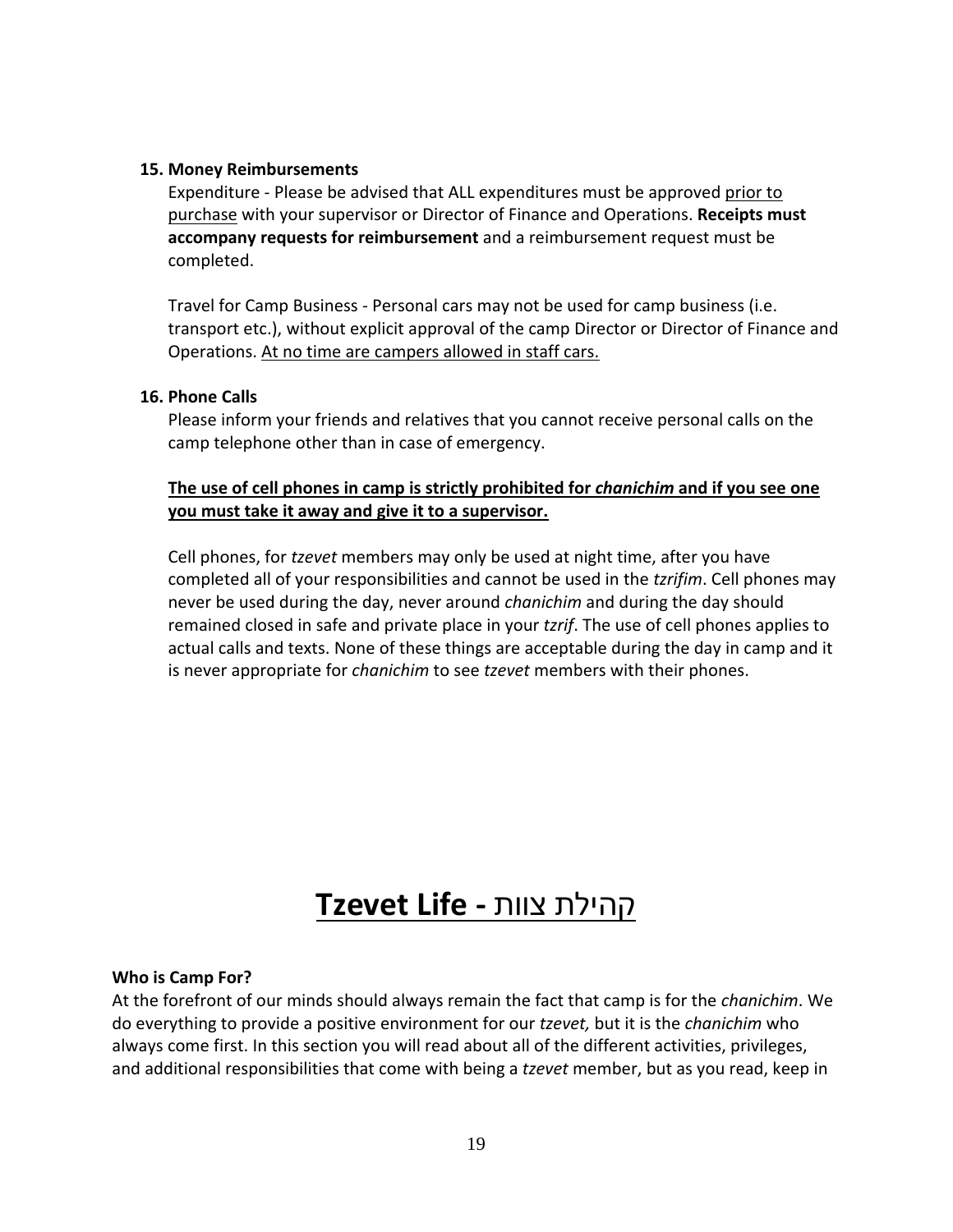#### **15. Money Reimbursements**

Expenditure - Please be advised that ALL expenditures must be approved prior to purchase with your supervisor or Director of Finance and Operations. **Receipts must accompany requests for reimbursement** and a reimbursement request must be completed.

Travel for Camp Business - Personal cars may not be used for camp business (i.e. transport etc.), without explicit approval of the camp Director or Director of Finance and Operations. At no time are campers allowed in staff cars.

#### **16. Phone Calls**

Please inform your friends and relatives that you cannot receive personal calls on the camp telephone other than in case of emergency.

## **The use of cell phones in camp is strictly prohibited for** *chanichim* **and if you see one you must take it away and give it to a supervisor.**

Cell phones, for *tzevet* members may only be used at night time, after you have completed all of your responsibilities and cannot be used in the *tzrifim*. Cell phones may never be used during the day, never around *chanichim* and during the day should remained closed in safe and private place in your *tzrif*. The use of cell phones applies to actual calls and texts. None of these things are acceptable during the day in camp and it is never appropriate for *chanichim* to see *tzevet* members with their phones.

## קהילת צוות **- Life Tzevet**

#### **Who is Camp For?**

At the forefront of our minds should always remain the fact that camp is for the *chanichim*. We do everything to provide a positive environment for our *tzevet,* but it is the *chanichim* who always come first. In this section you will read about all of the different activities, privileges, and additional responsibilities that come with being a *tzevet* member, but as you read, keep in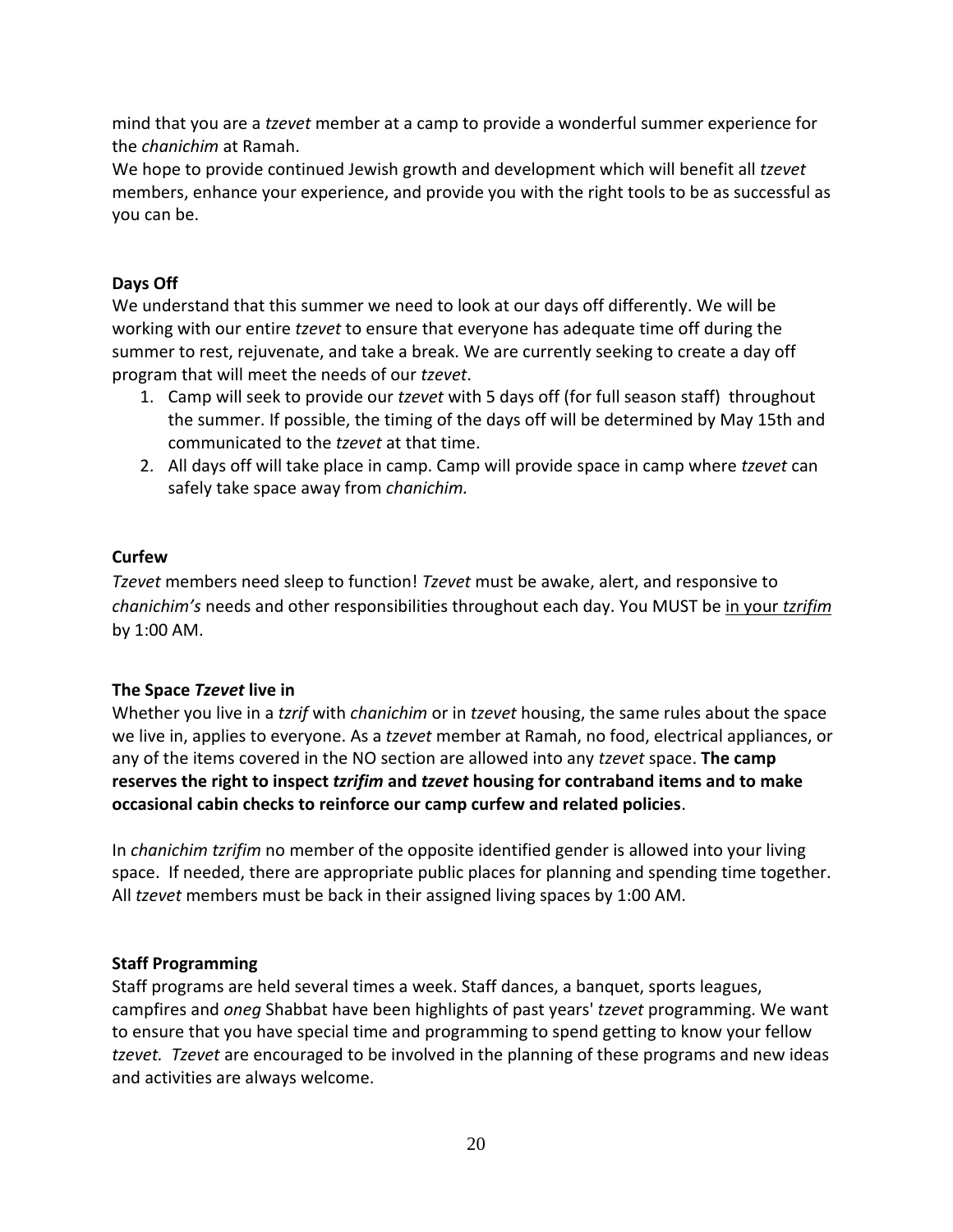mind that you are a *tzevet* member at a camp to provide a wonderful summer experience for the *chanichim* at Ramah.

We hope to provide continued Jewish growth and development which will benefit all *tzevet*  members, enhance your experience, and provide you with the right tools to be as successful as you can be.

## **Days Off**

We understand that this summer we need to look at our days off differently. We will be working with our entire *tzevet* to ensure that everyone has adequate time off during the summer to rest, rejuvenate, and take a break. We are currently seeking to create a day off program that will meet the needs of our *tzevet*.

- 1. Camp will seek to provide our *tzevet* with 5 days off (for full season staff) throughout the summer. If possible, the timing of the days off will be determined by May 15th and communicated to the *tzevet* at that time.
- 2. All days off will take place in camp. Camp will provide space in camp where *tzevet* can safely take space away from *chanichim.*

## **Curfew**

*Tzevet* members need sleep to function! *Tzevet* must be awake, alert, and responsive to *chanichim's* needs and other responsibilities throughout each day. You MUST be in your *tzrifim* by 1:00 AM.

## **The Space** *Tzevet* **live in**

Whether you live in a *tzrif* with *chanichim* or in *tzevet* housing, the same rules about the space we live in, applies to everyone. As a *tzevet* member at Ramah, no food, electrical appliances, or any of the items covered in the NO section are allowed into any *tzevet* space. **The camp reserves the right to inspect** *tzrifim* **and** *tzevet* **housing for contraband items and to make occasional cabin checks to reinforce our camp curfew and related policies**.

In *chanichim tzrifim* no member of the opposite identified gender is allowed into your living space. If needed, there are appropriate public places for planning and spending time together. All *tzevet* members must be back in their assigned living spaces by 1:00 AM.

## **Staff Programming**

Staff programs are held several times a week. Staff dances, a banquet, sports leagues, campfires and *oneg* Shabbat have been highlights of past years' *tzevet* programming. We want to ensure that you have special time and programming to spend getting to know your fellow *tzevet. Tzevet* are encouraged to be involved in the planning of these programs and new ideas and activities are always welcome.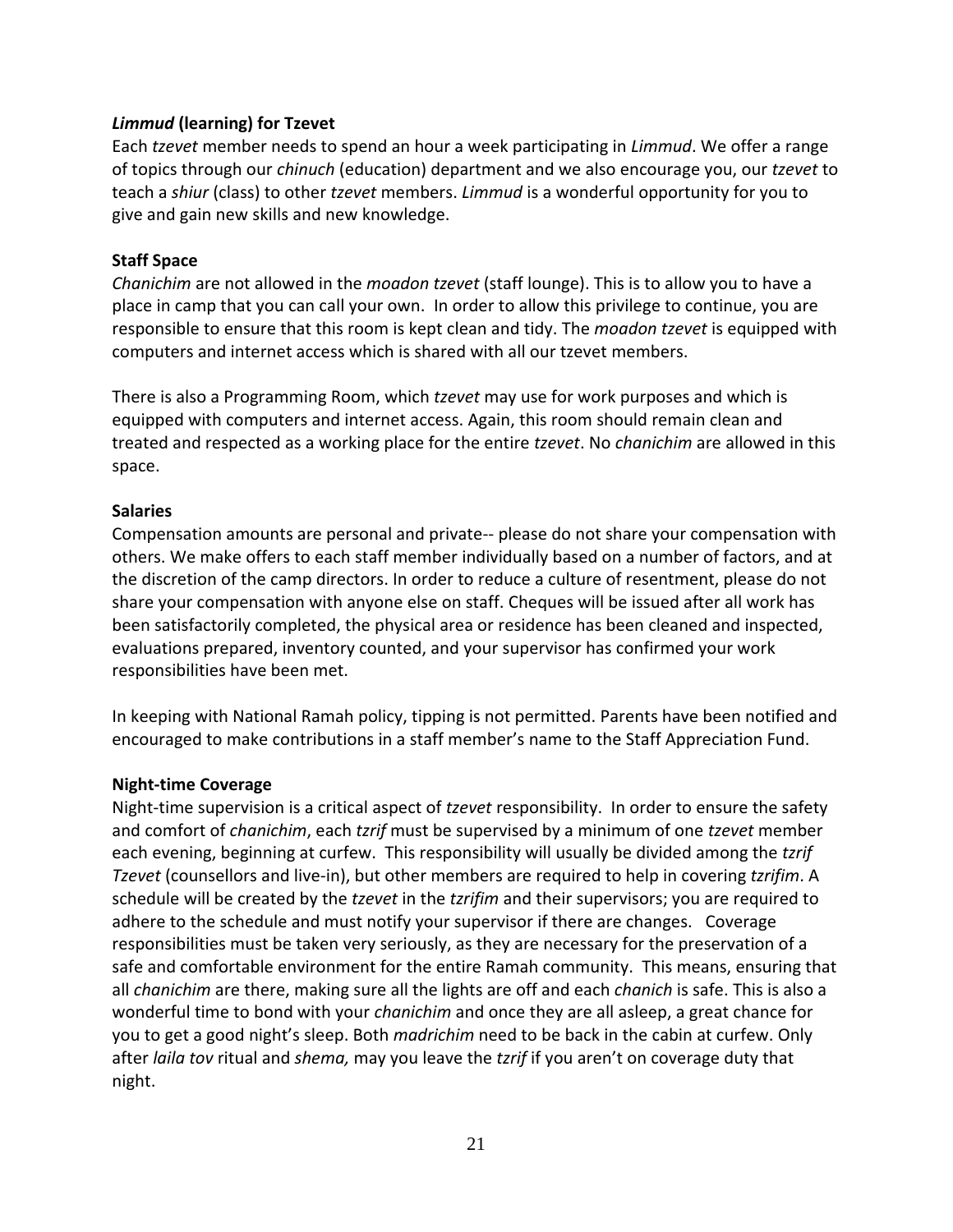### *Limmud* **(learning) for Tzevet**

Each *tzevet* member needs to spend an hour a week participating in *Limmud*. We offer a range of topics through our *chinuch* (education) department and we also encourage you, our *tzevet* to teach a *shiur* (class) to other *tzevet* members. *Limmud* is a wonderful opportunity for you to give and gain new skills and new knowledge.

#### **Staff Space**

*Chanichim* are not allowed in the *moadon tzevet* (staff lounge). This is to allow you to have a place in camp that you can call your own. In order to allow this privilege to continue, you are responsible to ensure that this room is kept clean and tidy. The *moadon tzevet* is equipped with computers and internet access which is shared with all our tzevet members.

There is also a Programming Room, which *tzevet* may use for work purposes and which is equipped with computers and internet access. Again, this room should remain clean and treated and respected as a working place for the entire *tzevet*. No *chanichim* are allowed in this space.

### **Salaries**

Compensation amounts are personal and private-- please do not share your compensation with others. We make offers to each staff member individually based on a number of factors, and at the discretion of the camp directors. In order to reduce a culture of resentment, please do not share your compensation with anyone else on staff. Cheques will be issued after all work has been satisfactorily completed, the physical area or residence has been cleaned and inspected, evaluations prepared, inventory counted, and your supervisor has confirmed your work responsibilities have been met.

In keeping with National Ramah policy, tipping is not permitted. Parents have been notified and encouraged to make contributions in a staff member's name to the Staff Appreciation Fund.

#### **Night-time Coverage**

Night-time supervision is a critical aspect of *tzevet* responsibility. In order to ensure the safety and comfort of *chanichim*, each *tzrif* must be supervised by a minimum of one *tzevet* member each evening, beginning at curfew. This responsibility will usually be divided among the *tzrif Tzevet* (counsellors and live-in), but other members are required to help in covering *tzrifim*. A schedule will be created by the *tzevet* in the *tzrifim* and their supervisors; you are required to adhere to the schedule and must notify your supervisor if there are changes. Coverage responsibilities must be taken very seriously, as they are necessary for the preservation of a safe and comfortable environment for the entire Ramah community. This means, ensuring that all *chanichim* are there, making sure all the lights are off and each *chanich* is safe. This is also a wonderful time to bond with your *chanichim* and once they are all asleep, a great chance for you to get a good night's sleep. Both *madrichim* need to be back in the cabin at curfew. Only after *laila tov* ritual and *shema,* may you leave the *tzrif* if you aren't on coverage duty that night.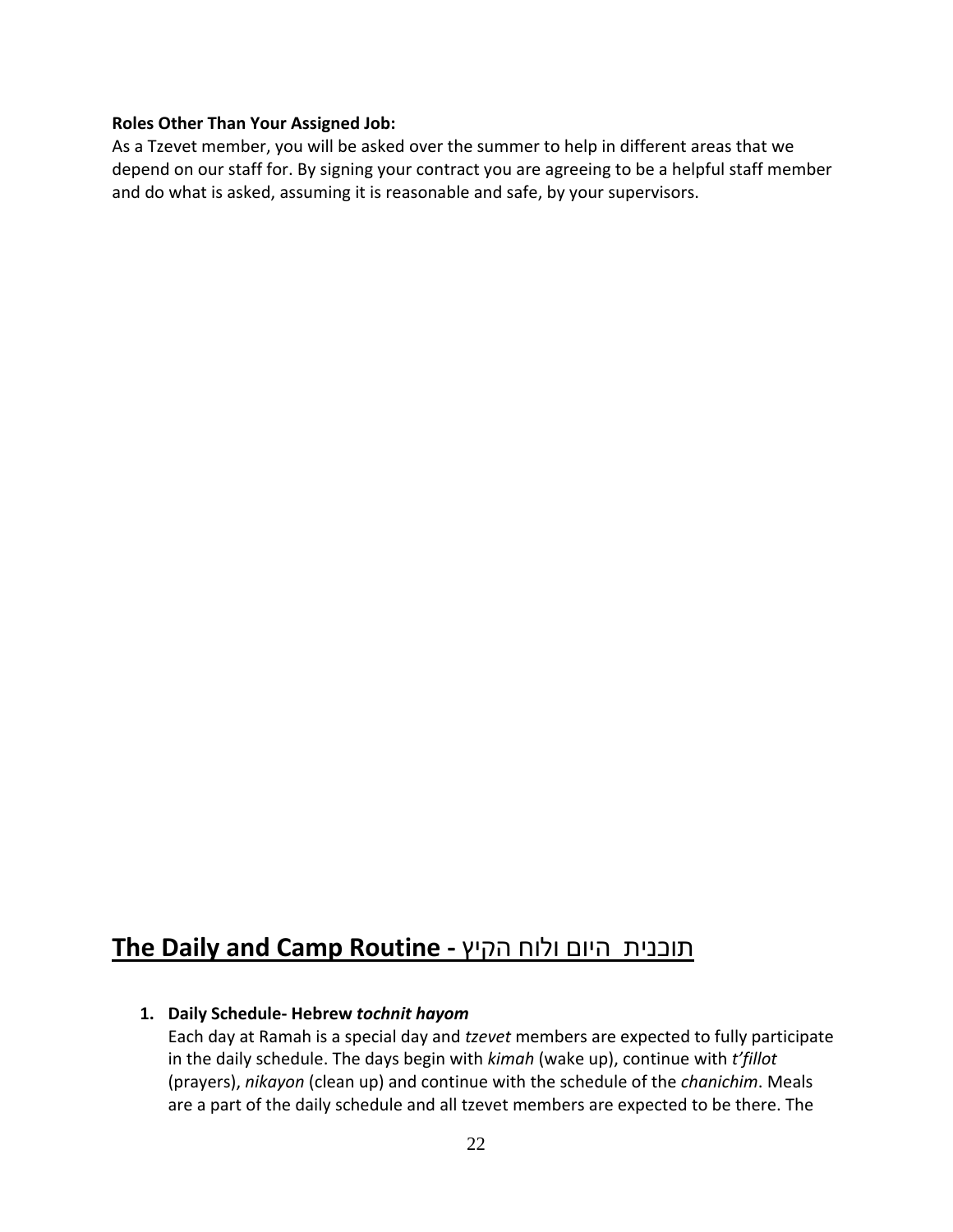#### **Roles Other Than Your Assigned Job:**

As a Tzevet member, you will be asked over the summer to help in different areas that we depend on our staff for. By signing your contract you are agreeing to be a helpful staff member and do what is asked, assuming it is reasonable and safe, by your supervisors.

## **The Daily and Camp Routine -** הקיץ ולוח היום תוכנית

#### **1. Daily Schedule- Hebrew** *tochnit hayom*

Each day at Ramah is a special day and *tzevet* members are expected to fully participate in the daily schedule. The days begin with *kimah* (wake up), continue with *t'fillot* (prayers), *nikayon* (clean up) and continue with the schedule of the *chanichim*. Meals are a part of the daily schedule and all tzevet members are expected to be there. The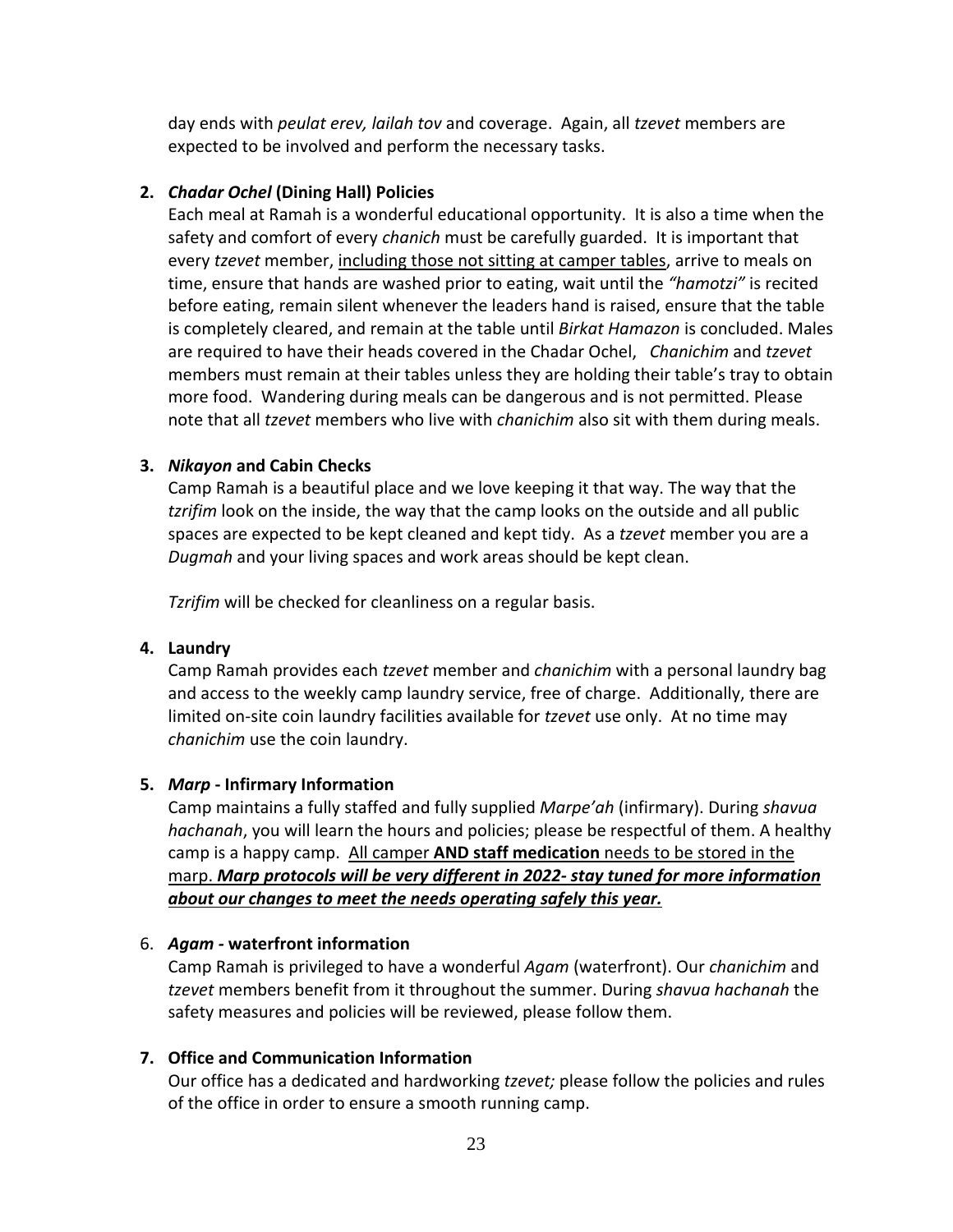day ends with *peulat erev, lailah tov* and coverage. Again, all *tzevet* members are expected to be involved and perform the necessary tasks.

### **2.** *Chadar Ochel* **(Dining Hall) Policies**

Each meal at Ramah is a wonderful educational opportunity. It is also a time when the safety and comfort of every *chanich* must be carefully guarded. It is important that every *tzevet* member, including those not sitting at camper tables, arrive to meals on time, ensure that hands are washed prior to eating, wait until the *"hamotzi"* is recited before eating, remain silent whenever the leaders hand is raised, ensure that the table is completely cleared, and remain at the table until *Birkat Hamazon* is concluded. Males are required to have their heads covered in the Chadar Ochel, *Chanichim* and *tzevet* members must remain at their tables unless they are holding their table's tray to obtain more food. Wandering during meals can be dangerous and is not permitted. Please note that all *tzevet* members who live with *chanichim* also sit with them during meals.

#### **3.** *Nikayon* **and Cabin Checks**

Camp Ramah is a beautiful place and we love keeping it that way. The way that the *tzrifim* look on the inside, the way that the camp looks on the outside and all public spaces are expected to be kept cleaned and kept tidy. As a *tzevet* member you are a *Dugmah* and your living spaces and work areas should be kept clean.

*Tzrifim* will be checked for cleanliness on a regular basis.

#### **4. Laundry**

Camp Ramah provides each *tzevet* member and *chanichim* with a personal laundry bag and access to the weekly camp laundry service, free of charge. Additionally, there are limited on-site coin laundry facilities available for *tzevet* use only. At no time may *chanichim* use the coin laundry.

#### **5.** *Marp* **- Infirmary Information**

Camp maintains a fully staffed and fully supplied *Marpe'ah* (infirmary). During *shavua hachanah*, you will learn the hours and policies; please be respectful of them. A healthy camp is a happy camp. All camper **AND staff medication** needs to be stored in the marp. *Marp protocols will be very different in 2022- stay tuned for more information about our changes to meet the needs operating safely this year.*

#### 6. *Agam -* **waterfront information**

Camp Ramah is privileged to have a wonderful *Agam* (waterfront). Our *chanichim* and *tzevet* members benefit from it throughout the summer. During *shavua hachanah* the safety measures and policies will be reviewed, please follow them.

#### **7. Office and Communication Information**

Our office has a dedicated and hardworking *tzevet;* please follow the policies and rules of the office in order to ensure a smooth running camp.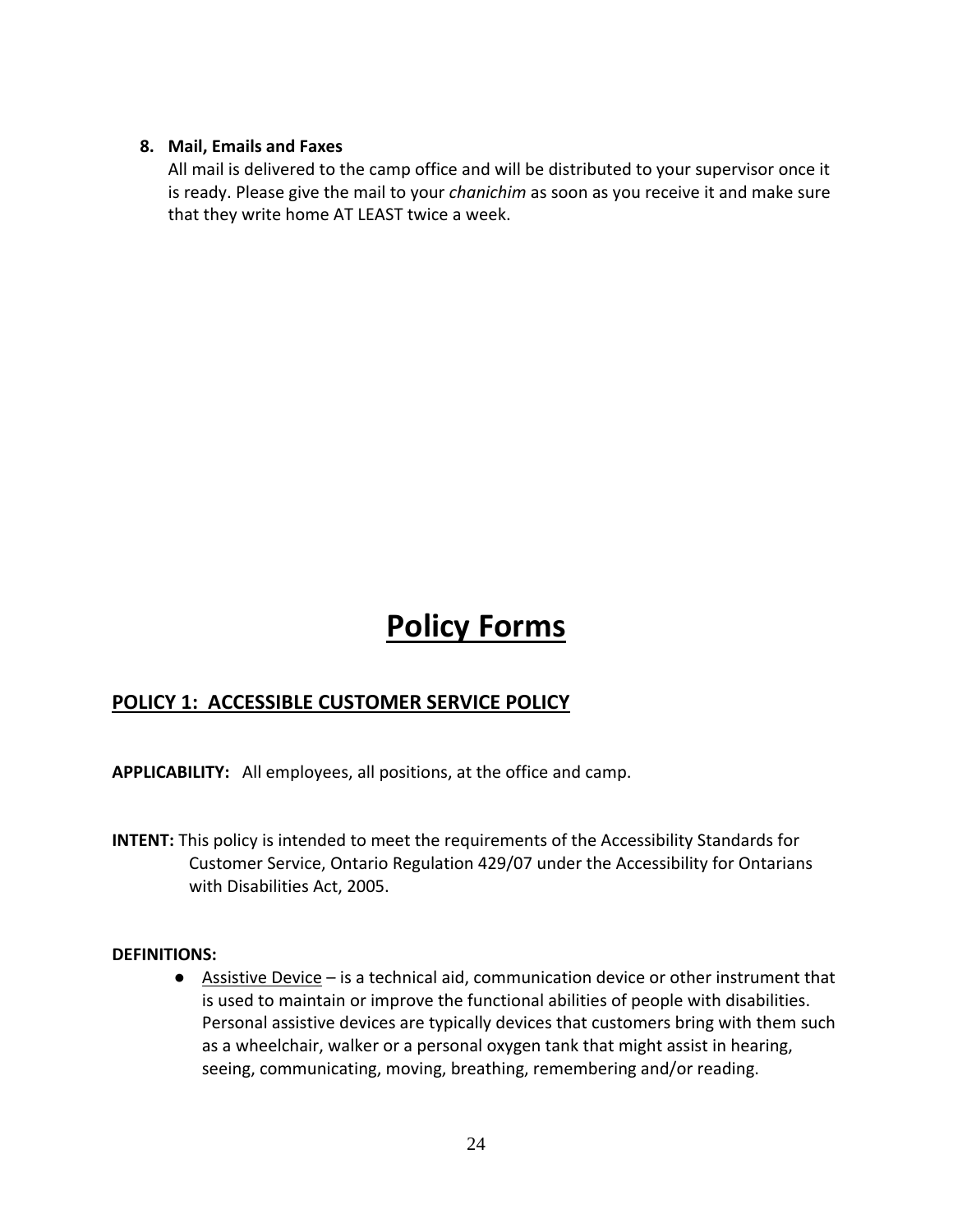#### **8. Mail, Emails and Faxes**

All mail is delivered to the camp office and will be distributed to your supervisor once it is ready. Please give the mail to your *chanichim* as soon as you receive it and make sure that they write home AT LEAST twice a week.

# **Policy Forms**

## **POLICY 1: ACCESSIBLE CUSTOMER SERVICE POLICY**

**APPLICABILITY:** All employees, all positions, at the office and camp.

**INTENT:** This policy is intended to meet the requirements of the Accessibility Standards for Customer Service, Ontario Regulation 429/07 under the Accessibility for Ontarians with Disabilities Act, 2005.

#### **DEFINITIONS:**

● Assistive Device – is a technical aid, communication device or other instrument that is used to maintain or improve the functional abilities of people with disabilities. Personal assistive devices are typically devices that customers bring with them such as a wheelchair, walker or a personal oxygen tank that might assist in hearing, seeing, communicating, moving, breathing, remembering and/or reading.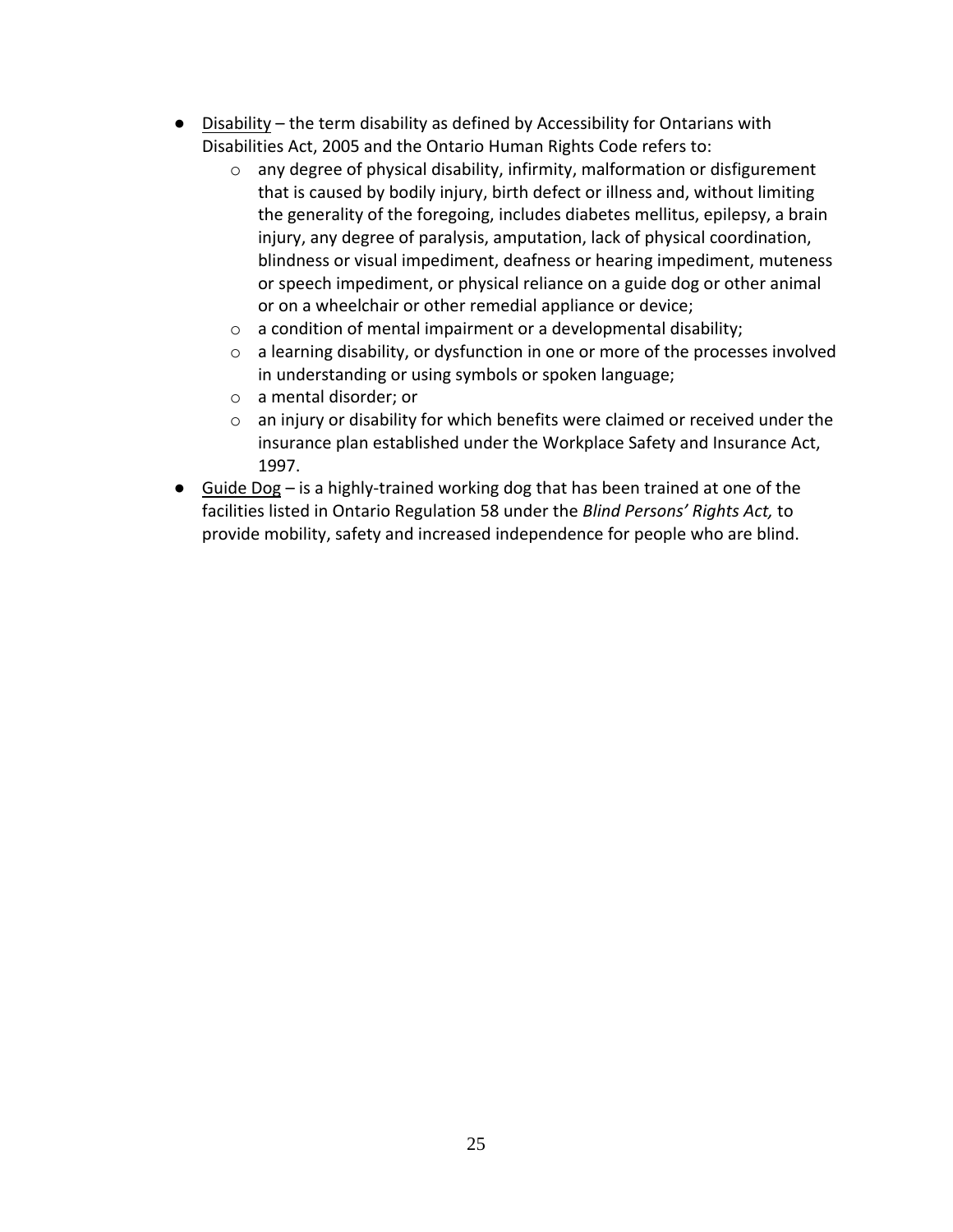- Disability the term disability as defined by Accessibility for Ontarians with Disabilities Act, 2005 and the Ontario Human Rights Code refers to:
	- o any degree of physical disability, infirmity, malformation or disfigurement that is caused by bodily injury, birth defect or illness and, without limiting the generality of the foregoing, includes diabetes mellitus, epilepsy, a brain injury, any degree of paralysis, amputation, lack of physical coordination, blindness or visual impediment, deafness or hearing impediment, muteness or speech impediment, or physical reliance on a guide dog or other animal or on a wheelchair or other remedial appliance or device;
	- o a condition of mental impairment or a developmental disability;
	- o a learning disability, or dysfunction in one or more of the processes involved in understanding or using symbols or spoken language;
	- o a mental disorder; or
	- o an injury or disability for which benefits were claimed or received under the insurance plan established under the Workplace Safety and Insurance Act, 1997.
- $\bullet$  Guide Dog is a highly-trained working dog that has been trained at one of the facilities listed in Ontario Regulation 58 under the *Blind Persons' Rights Act,* to provide mobility, safety and increased independence for people who are blind.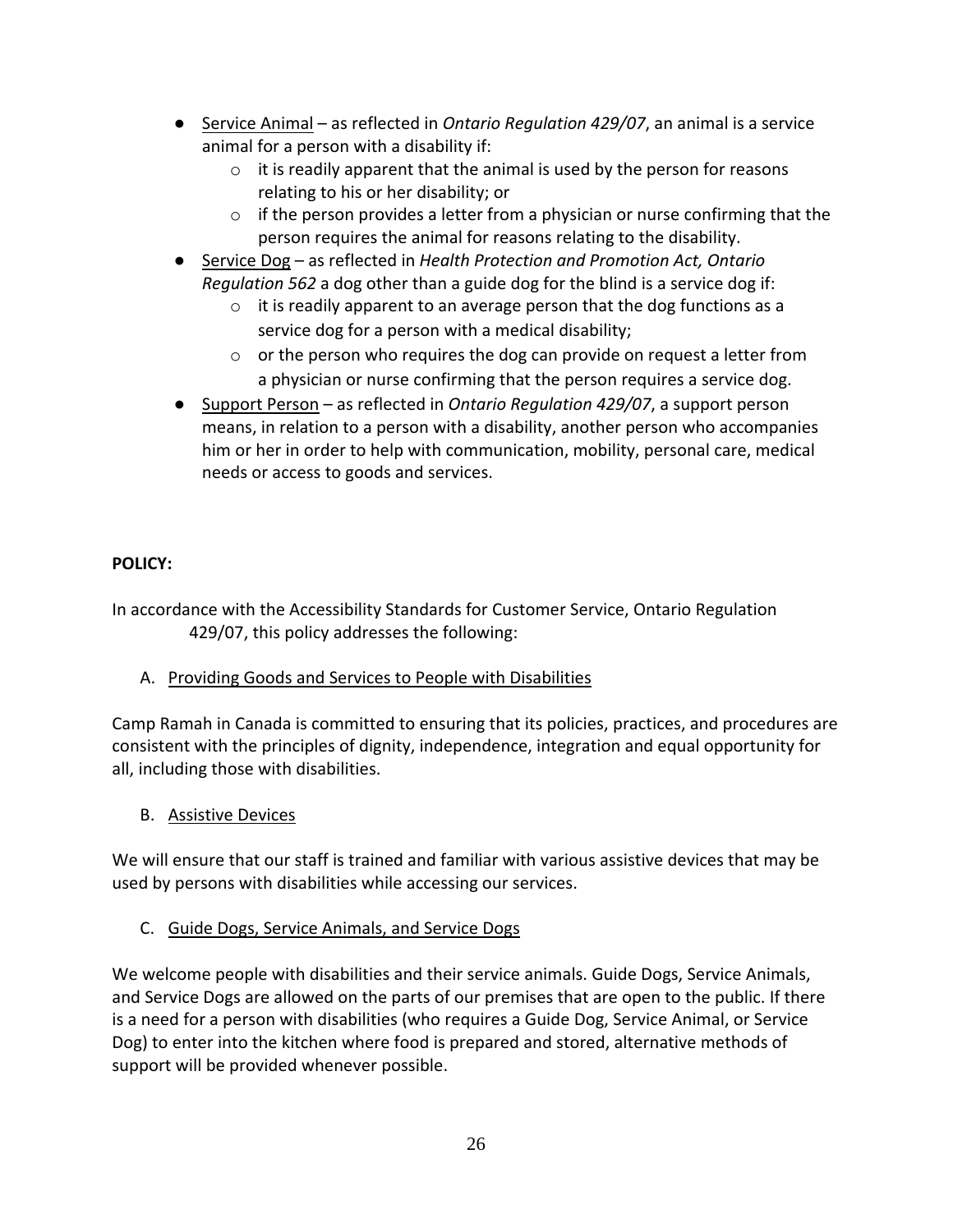- Service Animal as reflected in *Ontario Regulation 429/07*, an animal is a service animal for a person with a disability if:
	- o it is readily apparent that the animal is used by the person for reasons relating to his or her disability; or
	- $\circ$  if the person provides a letter from a physician or nurse confirming that the person requires the animal for reasons relating to the disability.
- Service Dog as reflected in *Health Protection and Promotion Act, Ontario Regulation 562* a dog other than a guide dog for the blind is a service dog if:
	- $\circ$  it is readily apparent to an average person that the dog functions as a service dog for a person with a medical disability;
	- o or the person who requires the dog can provide on request a letter from a physician or nurse confirming that the person requires a service dog.
- Support Person as reflected in *Ontario Regulation 429/07*, a support person means, in relation to a person with a disability, another person who accompanies him or her in order to help with communication, mobility, personal care, medical needs or access to goods and services.

## **POLICY:**

In accordance with the Accessibility Standards for Customer Service, Ontario Regulation 429/07, this policy addresses the following:

A. Providing Goods and Services to People with Disabilities

Camp Ramah in Canada is committed to ensuring that its policies, practices, and procedures are consistent with the principles of dignity, independence, integration and equal opportunity for all, including those with disabilities.

B. Assistive Devices

We will ensure that our staff is trained and familiar with various assistive devices that may be used by persons with disabilities while accessing our services.

C. Guide Dogs, Service Animals, and Service Dogs

We welcome people with disabilities and their service animals. Guide Dogs, Service Animals, and Service Dogs are allowed on the parts of our premises that are open to the public. If there is a need for a person with disabilities (who requires a Guide Dog, Service Animal, or Service Dog) to enter into the kitchen where food is prepared and stored, alternative methods of support will be provided whenever possible.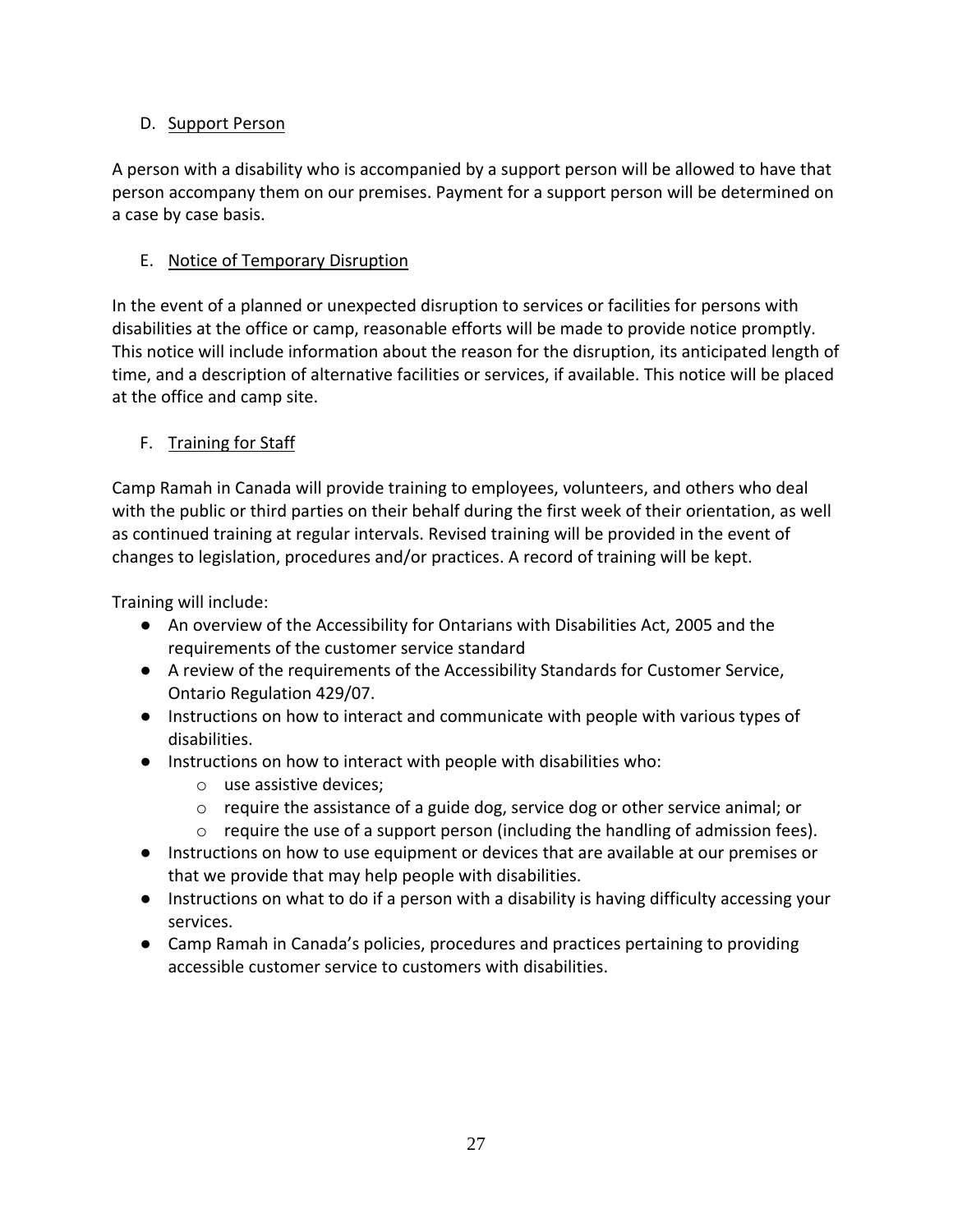## D. Support Person

A person with a disability who is accompanied by a support person will be allowed to have that person accompany them on our premises. Payment for a support person will be determined on a case by case basis.

## E. Notice of Temporary Disruption

In the event of a planned or unexpected disruption to services or facilities for persons with disabilities at the office or camp, reasonable efforts will be made to provide notice promptly. This notice will include information about the reason for the disruption, its anticipated length of time, and a description of alternative facilities or services, if available. This notice will be placed at the office and camp site.

## F. Training for Staff

Camp Ramah in Canada will provide training to employees, volunteers, and others who deal with the public or third parties on their behalf during the first week of their orientation, as well as continued training at regular intervals. Revised training will be provided in the event of changes to legislation, procedures and/or practices. A record of training will be kept.

Training will include:

- An overview of the Accessibility for Ontarians with Disabilities Act, 2005 and the requirements of the customer service standard
- A review of the requirements of the Accessibility Standards for Customer Service, Ontario Regulation 429/07.
- Instructions on how to interact and communicate with people with various types of disabilities.
- Instructions on how to interact with people with disabilities who:
	- o use assistive devices;
	- $\circ$  require the assistance of a guide dog, service dog or other service animal; or
	- $\circ$  require the use of a support person (including the handling of admission fees).
- Instructions on how to use equipment or devices that are available at our premises or that we provide that may help people with disabilities.
- Instructions on what to do if a person with a disability is having difficulty accessing your services.
- Camp Ramah in Canada's policies, procedures and practices pertaining to providing accessible customer service to customers with disabilities.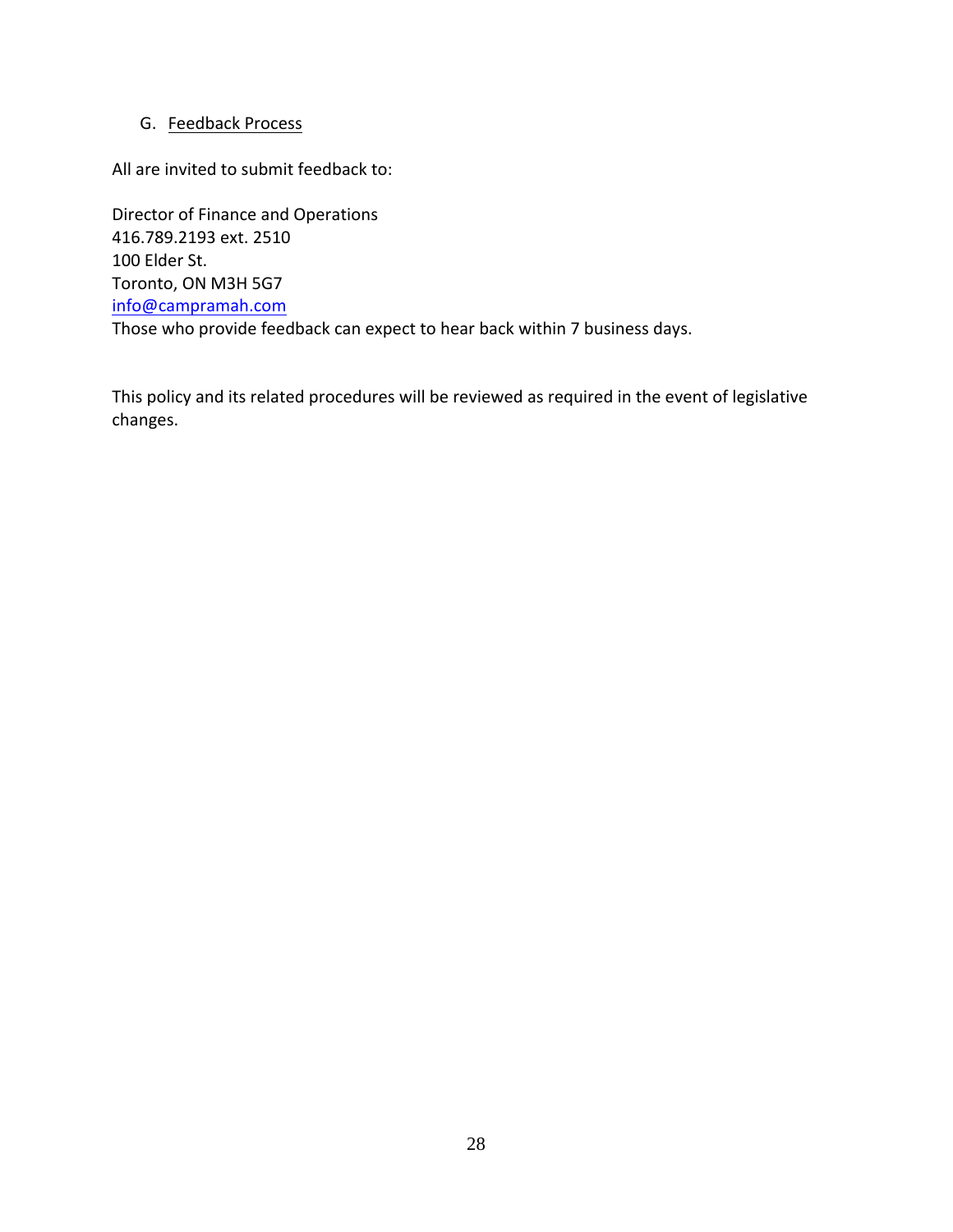### G. Feedback Process

All are invited to submit feedback to:

Director of Finance and Operations 416.789.2193 ext. 2510 100 Elder St. Toronto, ON M3H 5G7 [info@campramah.com](mailto:info@campramah.com) Those who provide feedback can expect to hear back within 7 business days.

This policy and its related procedures will be reviewed as required in the event of legislative changes.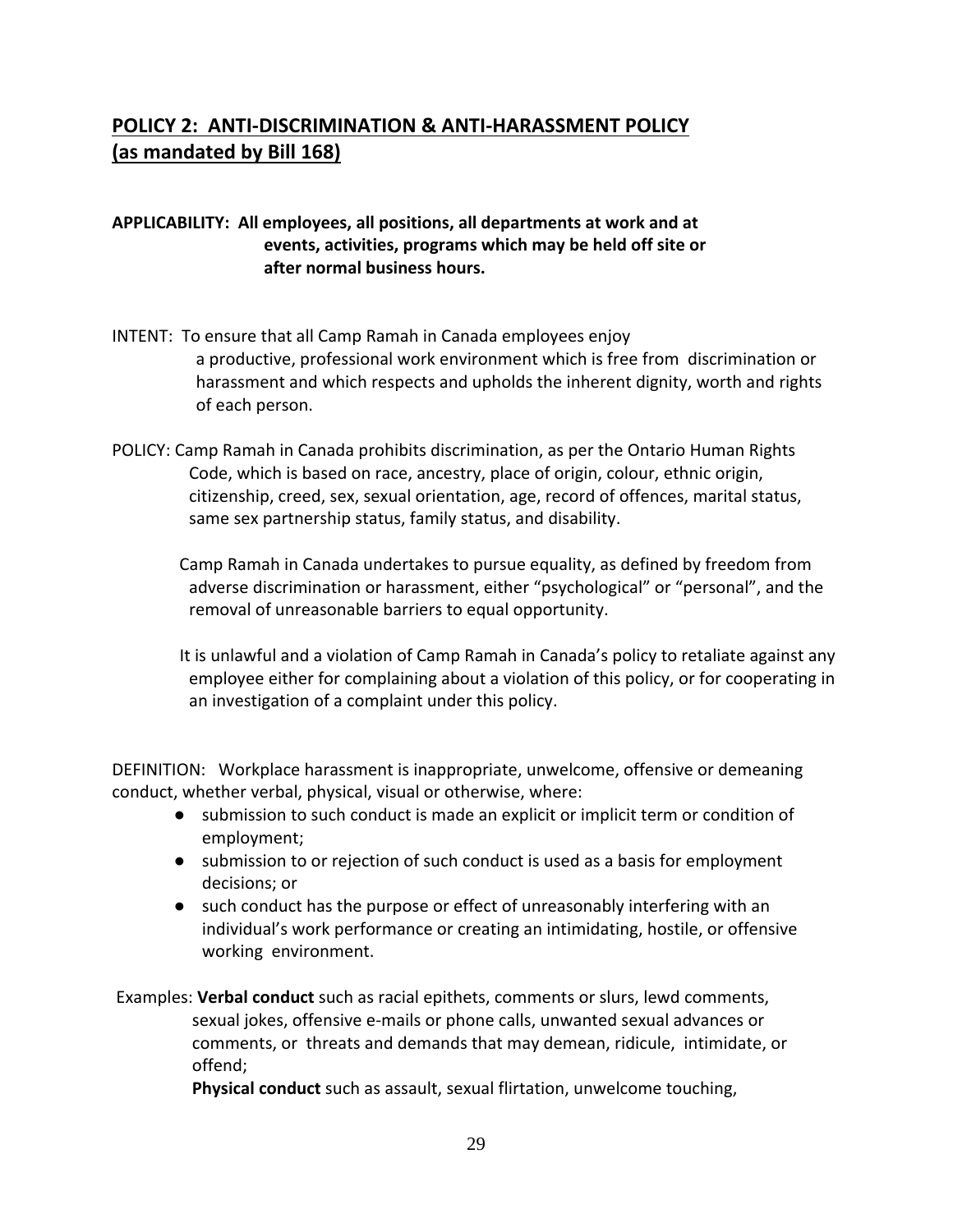## **POLICY 2: ANTI-DISCRIMINATION & ANTI-HARASSMENT POLICY (as mandated by Bill 168)**

## **APPLICABILITY: All employees, all positions, all departments at work and at events, activities, programs which may be held off site or after normal business hours.**

- INTENT: To ensure that all Camp Ramah in Canada employees enjoy a productive, professional work environment which is free from discrimination or harassment and which respects and upholds the inherent dignity, worth and rights of each person.
- POLICY: Camp Ramah in Canada prohibits discrimination, as per the Ontario Human Rights Code, which is based on race, ancestry, place of origin, colour, ethnic origin, citizenship, creed, sex, sexual orientation, age, record of offences, marital status, same sex partnership status, family status, and disability.

 Camp Ramah in Canada undertakes to pursue equality, as defined by freedom from adverse discrimination or harassment, either "psychological" or "personal", and the removal of unreasonable barriers to equal opportunity.

 It is unlawful and a violation of Camp Ramah in Canada's policy to retaliate against any employee either for complaining about a violation of this policy, or for cooperating in an investigation of a complaint under this policy.

DEFINITION: Workplace harassment is inappropriate, unwelcome, offensive or demeaning conduct, whether verbal, physical, visual or otherwise, where:

- submission to such conduct is made an explicit or implicit term or condition of employment;
- submission to or rejection of such conduct is used as a basis for employment decisions; or
- such conduct has the purpose or effect of unreasonably interfering with an individual's work performance or creating an intimidating, hostile, or offensive working environment.

Examples: **Verbal conduct** such as racial epithets, comments or slurs, lewd comments, sexual jokes, offensive e-mails or phone calls, unwanted sexual advances or comments, or threats and demands that may demean, ridicule, intimidate, or offend;

**Physical conduct** such as assault, sexual flirtation, unwelcome touching,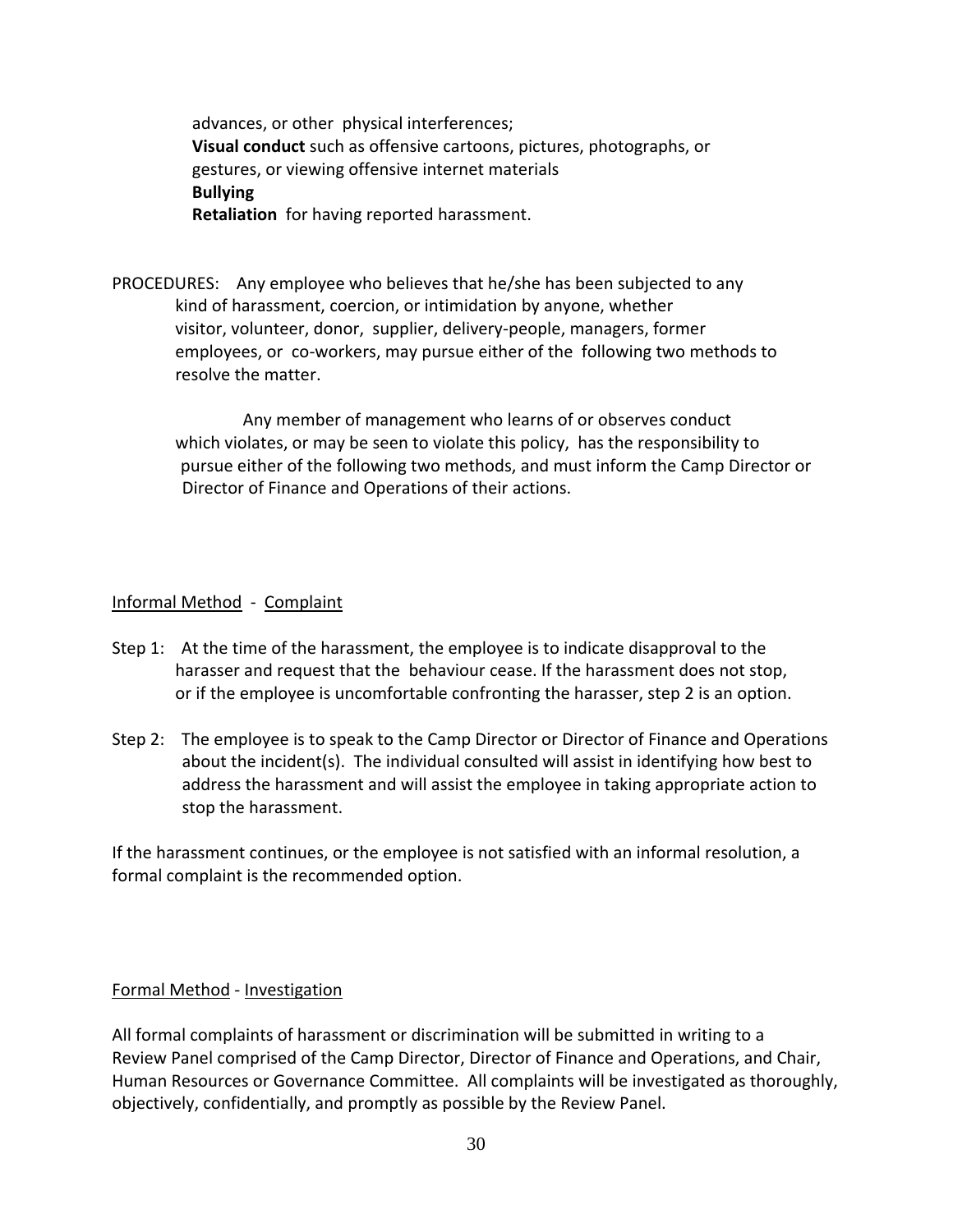advances, or other physical interferences; **Visual conduct** such as offensive cartoons, pictures, photographs, or gestures, or viewing offensive internet materials **Bullying Retaliation** for having reported harassment.

PROCEDURES: Any employee who believes that he/she has been subjected to any kind of harassment, coercion, or intimidation by anyone, whether visitor, volunteer, donor, supplier, delivery-people, managers, former employees, or co-workers, may pursue either of the following two methods to resolve the matter.

 Any member of management who learns of or observes conduct which violates, or may be seen to violate this policy, has the responsibility to pursue either of the following two methods, and must inform the Camp Director or Director of Finance and Operations of their actions.

#### Informal Method - Complaint

- Step 1: At the time of the harassment, the employee is to indicate disapproval to the harasser and request that the behaviour cease. If the harassment does not stop, or if the employee is uncomfortable confronting the harasser, step 2 is an option.
- Step 2: The employee is to speak to the Camp Director or Director of Finance and Operations about the incident(s). The individual consulted will assist in identifying how best to address the harassment and will assist the employee in taking appropriate action to stop the harassment.

If the harassment continues, or the employee is not satisfied with an informal resolution, a formal complaint is the recommended option.

#### Formal Method - Investigation

All formal complaints of harassment or discrimination will be submitted in writing to a Review Panel comprised of the Camp Director, Director of Finance and Operations, and Chair, Human Resources or Governance Committee. All complaints will be investigated as thoroughly, objectively, confidentially, and promptly as possible by the Review Panel.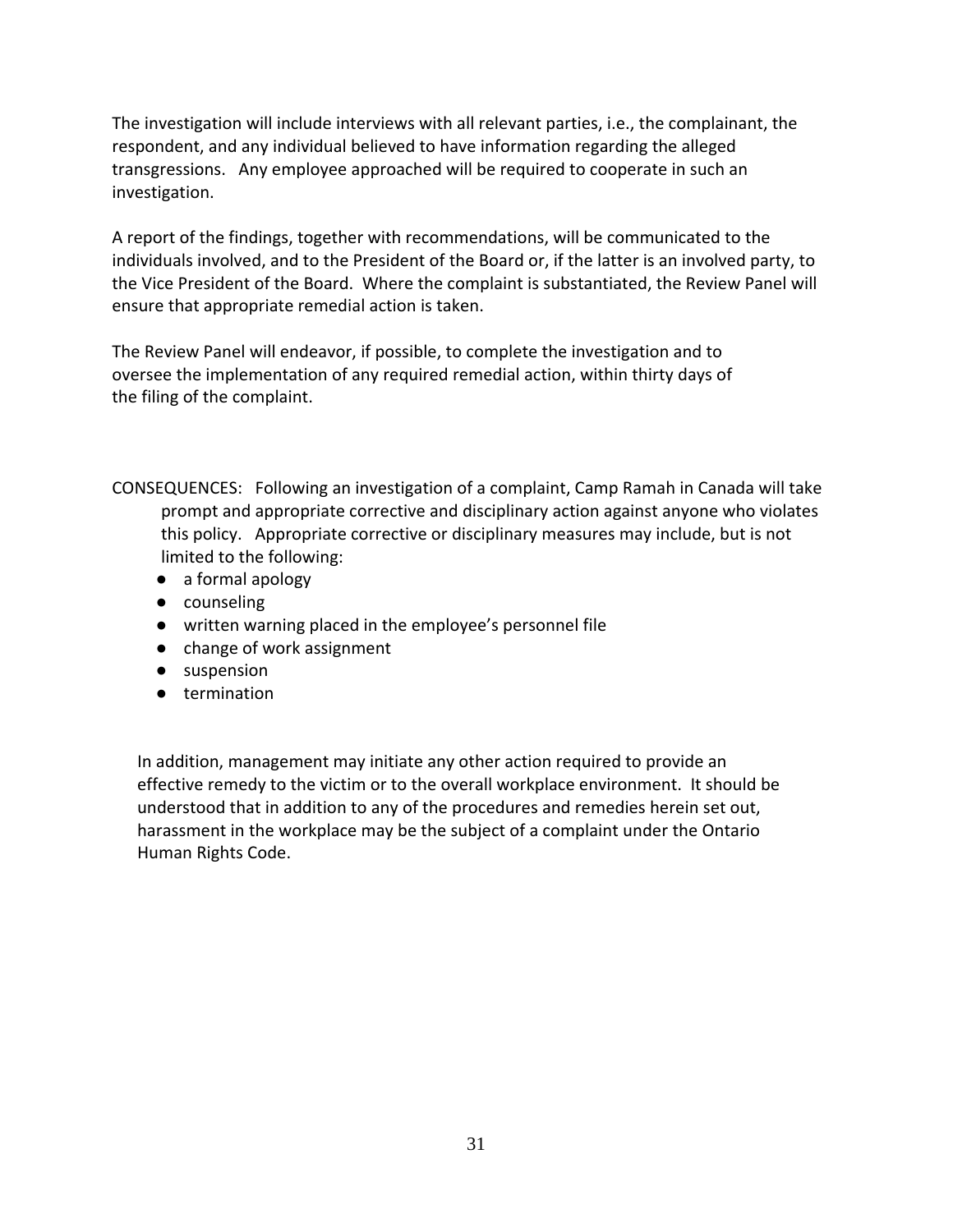The investigation will include interviews with all relevant parties, i.e., the complainant, the respondent, and any individual believed to have information regarding the alleged transgressions. Any employee approached will be required to cooperate in such an investigation.

A report of the findings, together with recommendations, will be communicated to the individuals involved, and to the President of the Board or, if the latter is an involved party, to the Vice President of the Board. Where the complaint is substantiated, the Review Panel will ensure that appropriate remedial action is taken.

The Review Panel will endeavor, if possible, to complete the investigation and to oversee the implementation of any required remedial action, within thirty days of the filing of the complaint.

CONSEQUENCES: Following an investigation of a complaint, Camp Ramah in Canada will take prompt and appropriate corrective and disciplinary action against anyone who violates this policy. Appropriate corrective or disciplinary measures may include, but is not limited to the following:

- a formal apology
- counseling
- written warning placed in the employee's personnel file
- change of work assignment
- suspension
- termination

 In addition, management may initiate any other action required to provide an effective remedy to the victim or to the overall workplace environment. It should be understood that in addition to any of the procedures and remedies herein set out, harassment in the workplace may be the subject of a complaint under the Ontario Human Rights Code.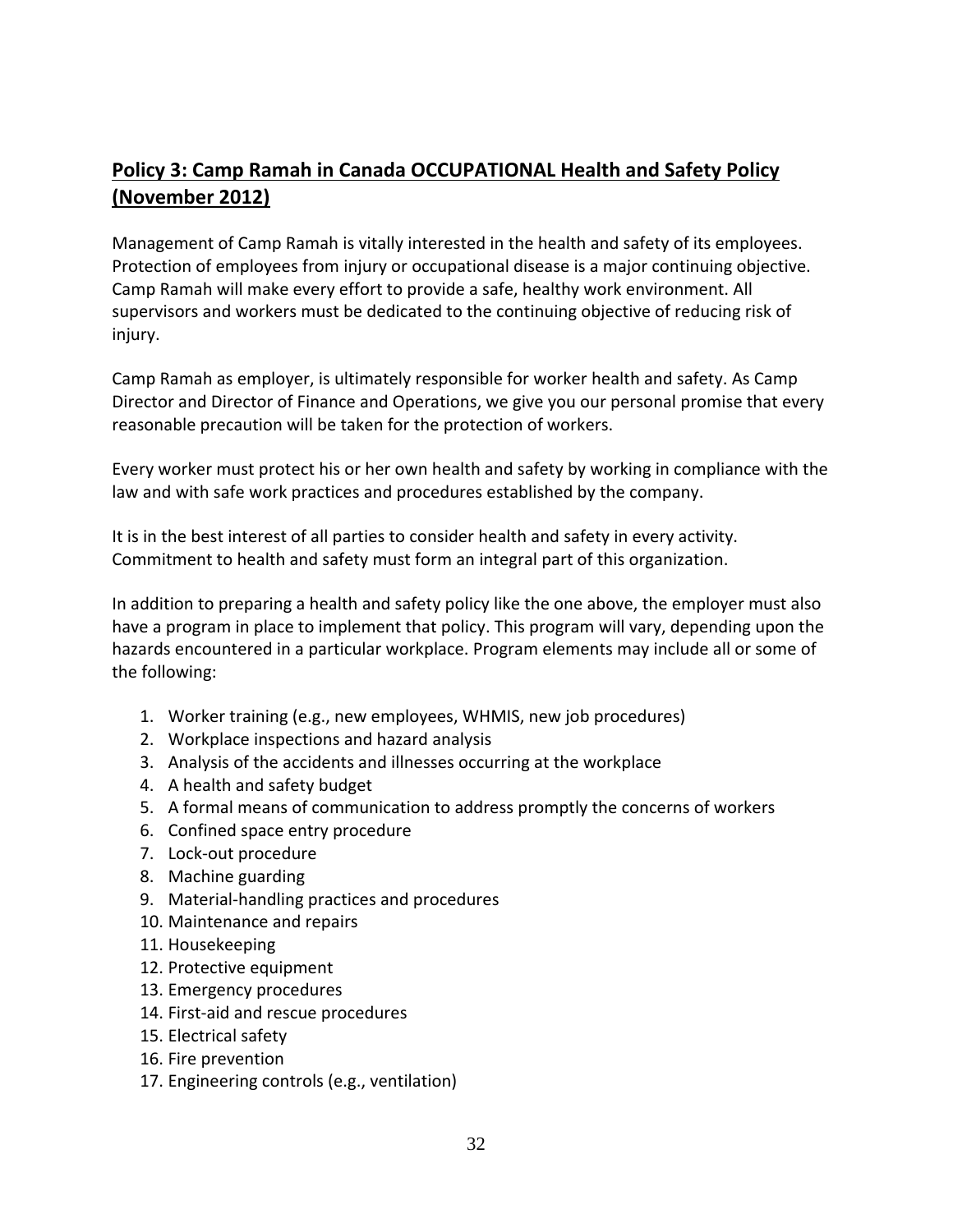## **Policy 3: Camp Ramah in Canada OCCUPATIONAL Health and Safety Policy (November 2012)**

Management of Camp Ramah is vitally interested in the health and safety of its employees. Protection of employees from injury or occupational disease is a major continuing objective. Camp Ramah will make every effort to provide a safe, healthy work environment. All supervisors and workers must be dedicated to the continuing objective of reducing risk of injury.

Camp Ramah as employer, is ultimately responsible for worker health and safety. As Camp Director and Director of Finance and Operations, we give you our personal promise that every reasonable precaution will be taken for the protection of workers.

Every worker must protect his or her own health and safety by working in compliance with the law and with safe work practices and procedures established by the company.

It is in the best interest of all parties to consider health and safety in every activity. Commitment to health and safety must form an integral part of this organization.

In addition to preparing a health and safety policy like the one above, the employer must also have a program in place to implement that policy. This program will vary, depending upon the hazards encountered in a particular workplace. Program elements may include all or some of the following:

- 1. Worker training (e.g., new employees, WHMIS, new job procedures)
- 2. Workplace inspections and hazard analysis
- 3. Analysis of the accidents and illnesses occurring at the workplace
- 4. A health and safety budget
- 5. A formal means of communication to address promptly the concerns of workers
- 6. Confined space entry procedure
- 7. Lock-out procedure
- 8. Machine guarding
- 9. Material-handling practices and procedures
- 10. Maintenance and repairs
- 11. Housekeeping
- 12. Protective equipment
- 13. Emergency procedures
- 14. First-aid and rescue procedures
- 15. Electrical safety
- 16. Fire prevention
- 17. Engineering controls (e.g., ventilation)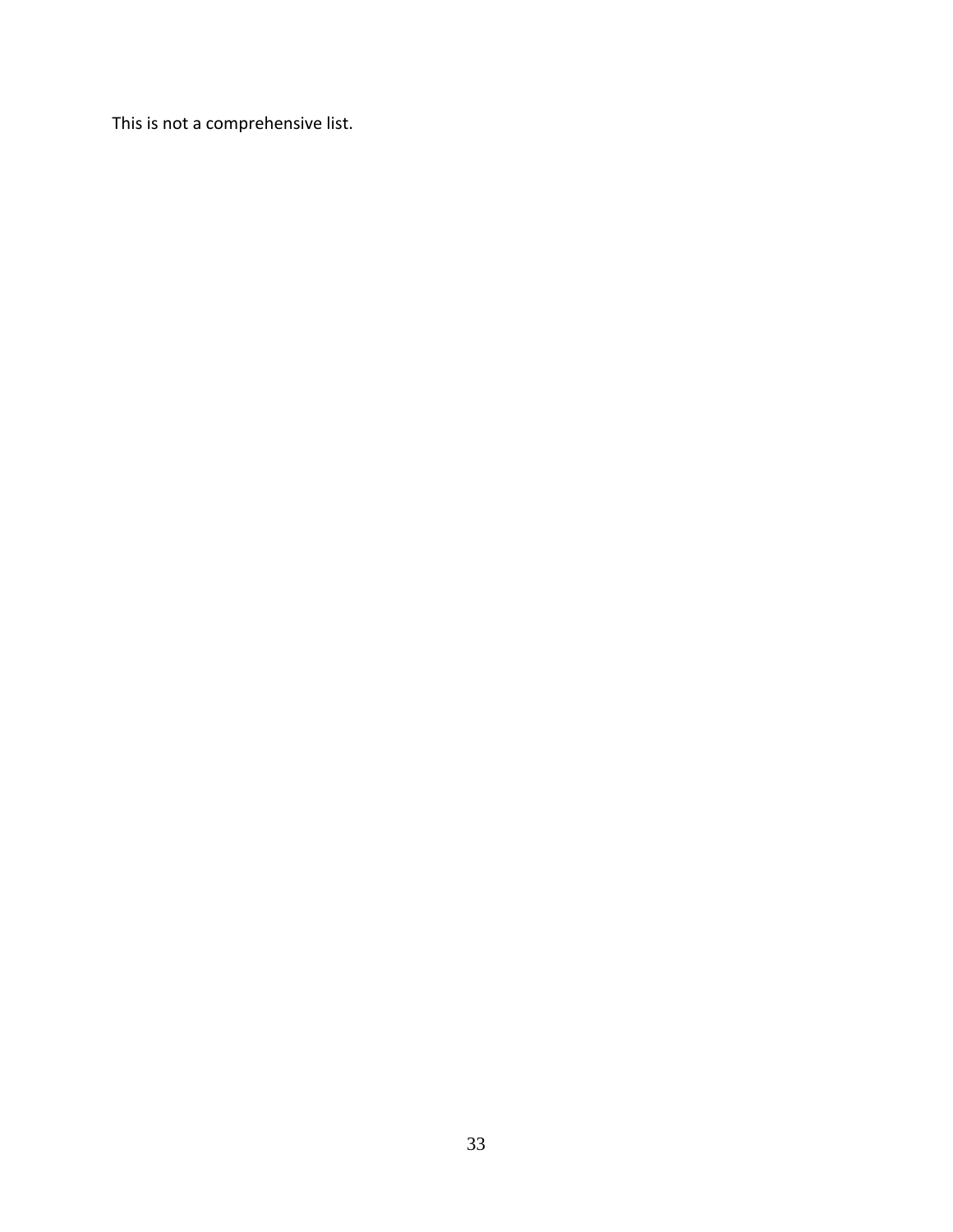This is not a comprehensive list.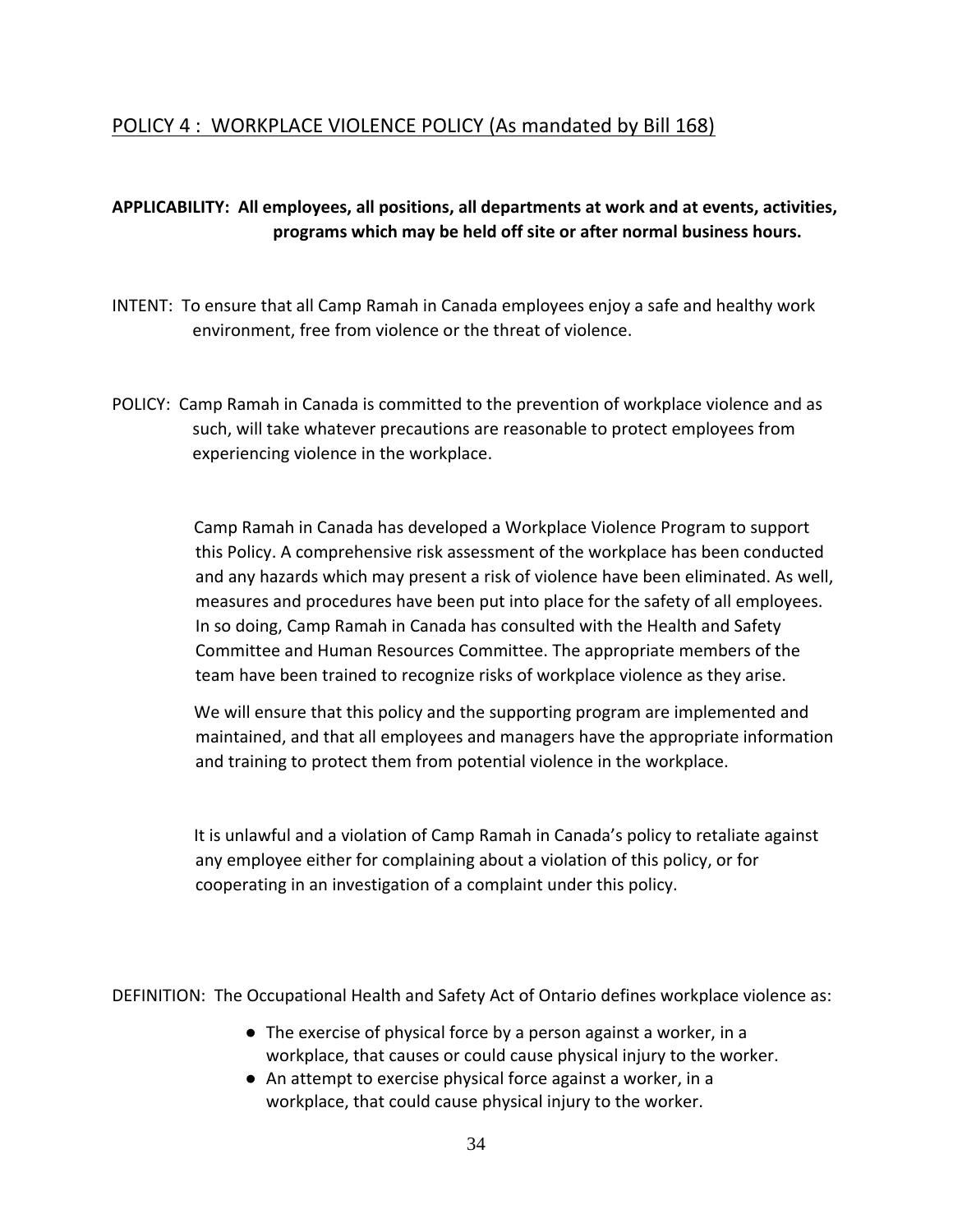## POLICY 4 : WORKPLACE VIOLENCE POLICY (As mandated by Bill 168)

## **APPLICABILITY: All employees, all positions, all departments at work and at events, activities, programs which may be held off site or after normal business hours.**

- INTENT: To ensure that all Camp Ramah in Canada employees enjoy a safe and healthy work environment, free from violence or the threat of violence.
- POLICY: Camp Ramah in Canada is committed to the prevention of workplace violence and as such, will take whatever precautions are reasonable to protect employees from experiencing violence in the workplace.

Camp Ramah in Canada has developed a Workplace Violence Program to support this Policy. A comprehensive risk assessment of the workplace has been conducted and any hazards which may present a risk of violence have been eliminated. As well, measures and procedures have been put into place for the safety of all employees. In so doing, Camp Ramah in Canada has consulted with the Health and Safety Committee and Human Resources Committee. The appropriate members of the team have been trained to recognize risks of workplace violence as they arise.

We will ensure that this policy and the supporting program are implemented and maintained, and that all employees and managers have the appropriate information and training to protect them from potential violence in the workplace.

It is unlawful and a violation of Camp Ramah in Canada's policy to retaliate against any employee either for complaining about a violation of this policy, or for cooperating in an investigation of a complaint under this policy.

DEFINITION: The Occupational Health and Safety Act of Ontario defines workplace violence as:

- The exercise of physical force by a person against a worker, in a workplace, that causes or could cause physical injury to the worker.
- An attempt to exercise physical force against a worker, in a workplace, that could cause physical injury to the worker.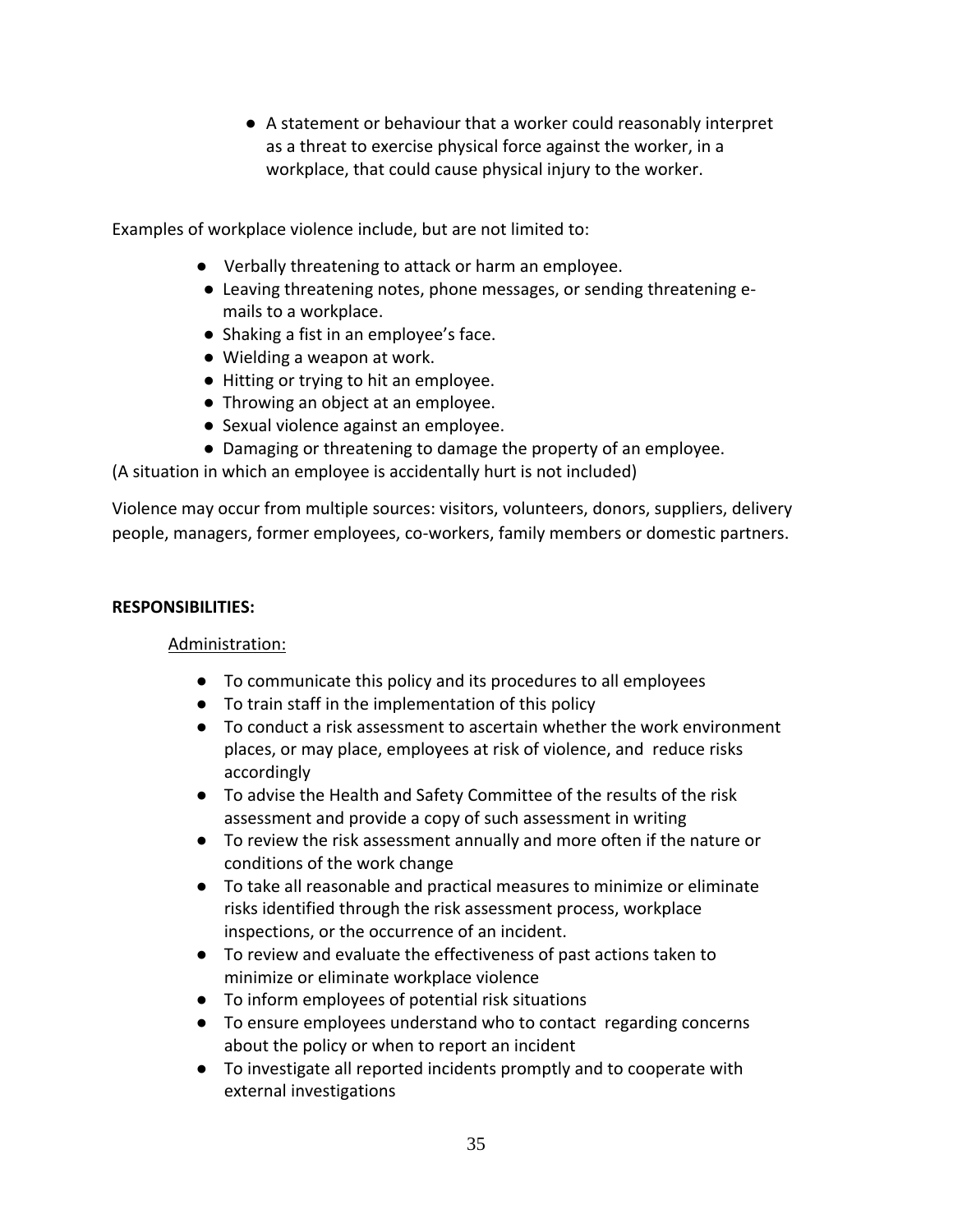● A statement or behaviour that a worker could reasonably interpret as a threat to exercise physical force against the worker, in a workplace, that could cause physical injury to the worker.

Examples of workplace violence include, but are not limited to:

- Verbally threatening to attack or harm an employee.
- Leaving threatening notes, phone messages, or sending threatening emails to a workplace.
- Shaking a fist in an employee's face.
- Wielding a weapon at work.
- Hitting or trying to hit an employee.
- Throwing an object at an employee.
- Sexual violence against an employee.
- Damaging or threatening to damage the property of an employee.

(A situation in which an employee is accidentally hurt is not included)

Violence may occur from multiple sources: visitors, volunteers, donors, suppliers, delivery people, managers, former employees, co-workers, family members or domestic partners.

#### **RESPONSIBILITIES:**

## Administration:

- To communicate this policy and its procedures to all employees
- To train staff in the implementation of this policy
- To conduct a risk assessment to ascertain whether the work environment places, or may place, employees at risk of violence, and reduce risks accordingly
- To advise the Health and Safety Committee of the results of the risk assessment and provide a copy of such assessment in writing
- To review the risk assessment annually and more often if the nature or conditions of the work change
- To take all reasonable and practical measures to minimize or eliminate risks identified through the risk assessment process, workplace inspections, or the occurrence of an incident.
- To review and evaluate the effectiveness of past actions taken to minimize or eliminate workplace violence
- To inform employees of potential risk situations
- To ensure employees understand who to contact regarding concerns about the policy or when to report an incident
- To investigate all reported incidents promptly and to cooperate with external investigations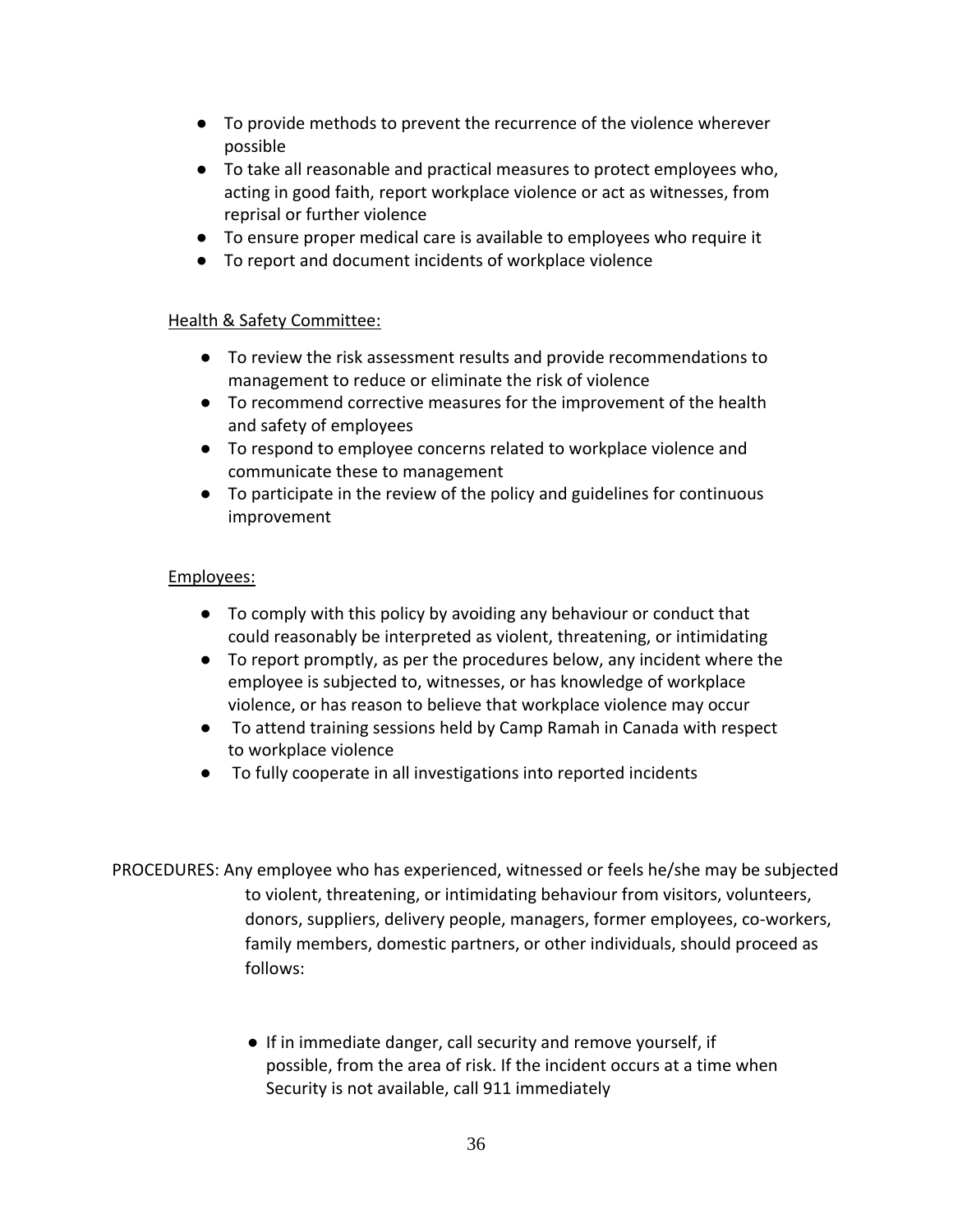- To provide methods to prevent the recurrence of the violence wherever possible
- To take all reasonable and practical measures to protect employees who, acting in good faith, report workplace violence or act as witnesses, from reprisal or further violence
- To ensure proper medical care is available to employees who require it
- To report and document incidents of workplace violence

#### Health & Safety Committee:

- To review the risk assessment results and provide recommendations to management to reduce or eliminate the risk of violence
- To recommend corrective measures for the improvement of the health and safety of employees
- To respond to employee concerns related to workplace violence and communicate these to management
- To participate in the review of the policy and guidelines for continuous improvement

#### Employees:

- To comply with this policy by avoiding any behaviour or conduct that could reasonably be interpreted as violent, threatening, or intimidating
- To report promptly, as per the procedures below, any incident where the employee is subjected to, witnesses, or has knowledge of workplace violence, or has reason to believe that workplace violence may occur
- To attend training sessions held by Camp Ramah in Canada with respect to workplace violence
- To fully cooperate in all investigations into reported incidents
- PROCEDURES: Any employee who has experienced, witnessed or feels he/she may be subjected to violent, threatening, or intimidating behaviour from visitors, volunteers, donors, suppliers, delivery people, managers, former employees, co-workers, family members, domestic partners, or other individuals, should proceed as follows:
	- If in immediate danger, call security and remove yourself, if possible, from the area of risk. If the incident occurs at a time when Security is not available, call 911 immediately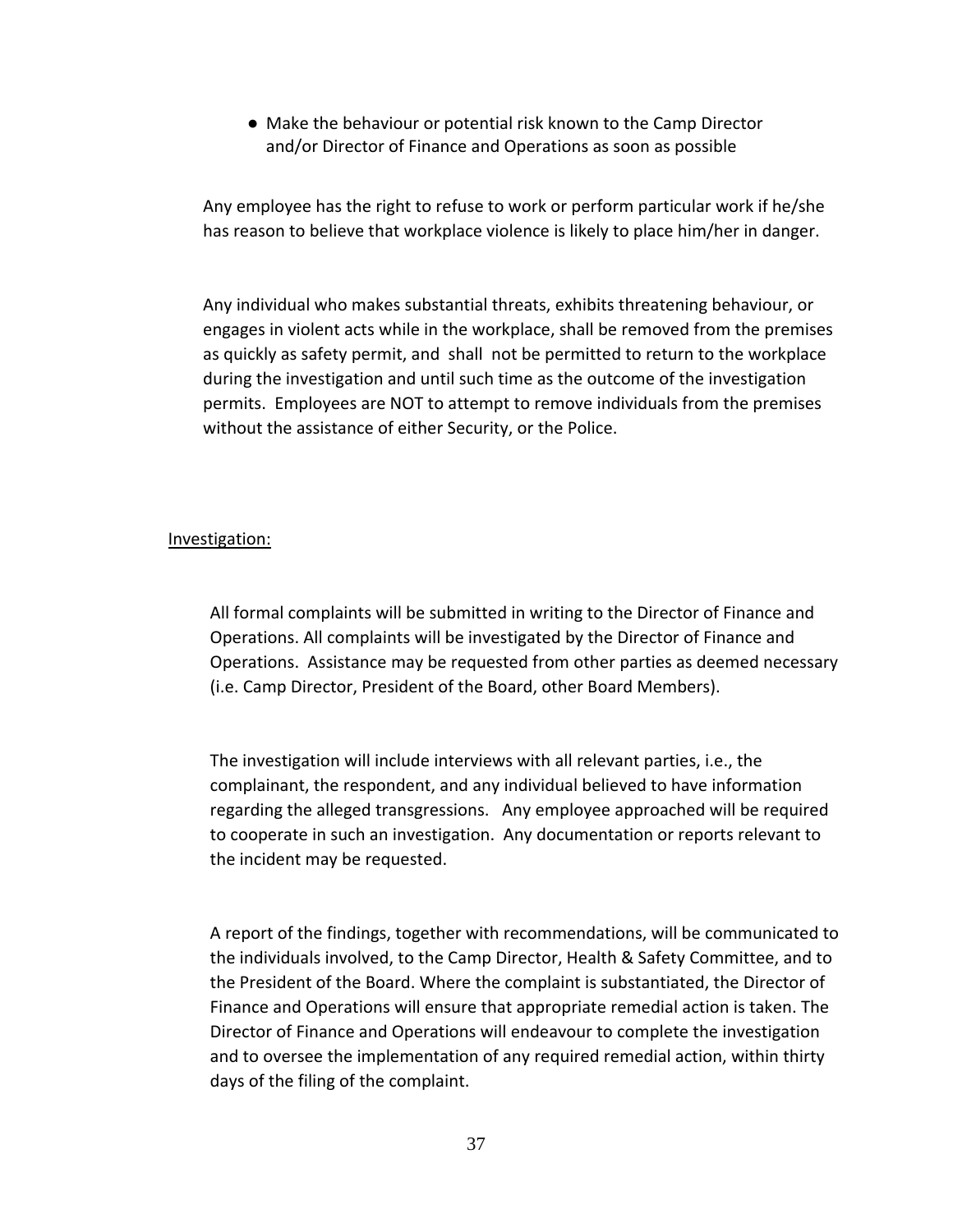● Make the behaviour or potential risk known to the Camp Director and/or Director of Finance and Operations as soon as possible

Any employee has the right to refuse to work or perform particular work if he/she has reason to believe that workplace violence is likely to place him/her in danger.

Any individual who makes substantial threats, exhibits threatening behaviour, or engages in violent acts while in the workplace, shall be removed from the premises as quickly as safety permit, and shall not be permitted to return to the workplace during the investigation and until such time as the outcome of the investigation permits. Employees are NOT to attempt to remove individuals from the premises without the assistance of either Security, or the Police.

#### Investigation:

All formal complaints will be submitted in writing to the Director of Finance and Operations. All complaints will be investigated by the Director of Finance and Operations. Assistance may be requested from other parties as deemed necessary (i.e. Camp Director, President of the Board, other Board Members).

The investigation will include interviews with all relevant parties, i.e., the complainant, the respondent, and any individual believed to have information regarding the alleged transgressions. Any employee approached will be required to cooperate in such an investigation. Any documentation or reports relevant to the incident may be requested.

A report of the findings, together with recommendations, will be communicated to the individuals involved, to the Camp Director, Health & Safety Committee, and to the President of the Board. Where the complaint is substantiated, the Director of Finance and Operations will ensure that appropriate remedial action is taken. The Director of Finance and Operations will endeavour to complete the investigation and to oversee the implementation of any required remedial action, within thirty days of the filing of the complaint.